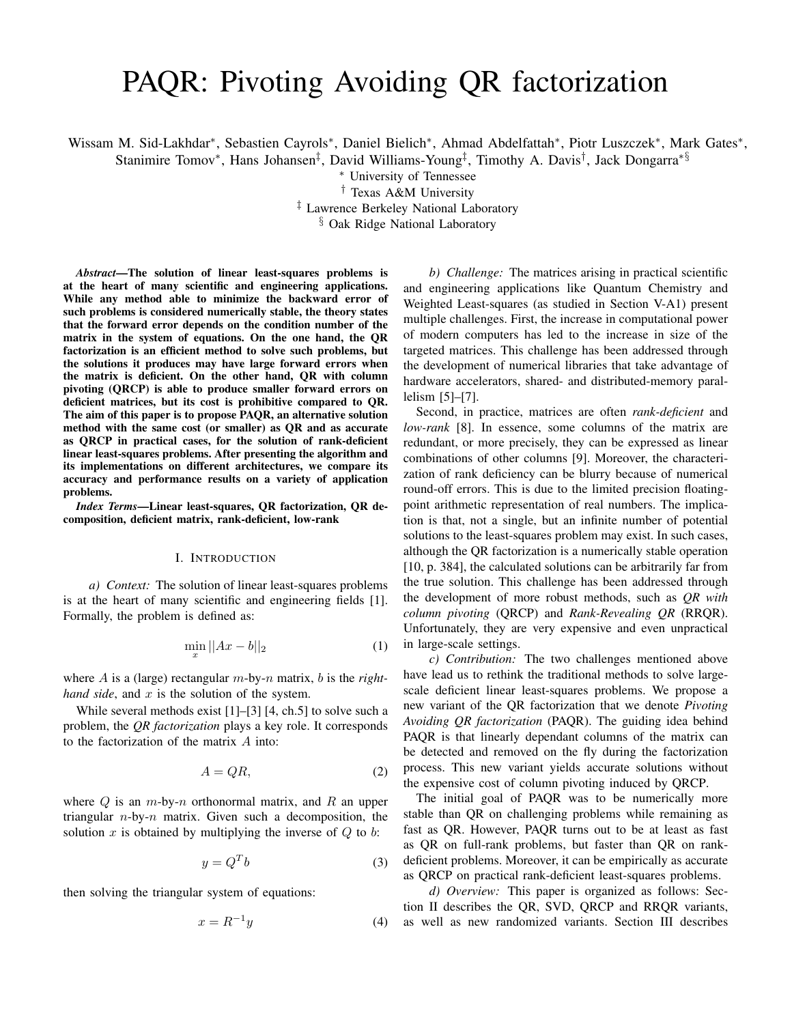# PAQR: Pivoting Avoiding QR factorization

Wissam M. Sid-Lakhdar\*, Sebastien Cayrols\*, Daniel Bielich\*, Ahmad Abdelfattah\*, Piotr Luszczek\*, Mark Gates\*,

Stanimire Tomov\*, Hans Johansen<sup>‡</sup>, David Williams-Young<sup>‡</sup>, Timothy A. Davis<sup>†</sup>, Jack Dongarra<sup>∗§</sup>

<sup>∗</sup> University of Tennessee

† Texas A&M University

‡ Lawrence Berkeley National Laboratory

§ Oak Ridge National Laboratory

*Abstract*—The solution of linear least-squares problems is at the heart of many scientific and engineering applications. While any method able to minimize the backward error of such problems is considered numerically stable, the theory states that the forward error depends on the condition number of the matrix in the system of equations. On the one hand, the QR factorization is an efficient method to solve such problems, but the solutions it produces may have large forward errors when the matrix is deficient. On the other hand, QR with column pivoting (QRCP) is able to produce smaller forward errors on deficient matrices, but its cost is prohibitive compared to QR. The aim of this paper is to propose PAQR, an alternative solution method with the same cost (or smaller) as QR and as accurate as QRCP in practical cases, for the solution of rank-deficient linear least-squares problems. After presenting the algorithm and its implementations on different architectures, we compare its accuracy and performance results on a variety of application problems.

*Index Terms*—Linear least-squares, QR factorization, QR decomposition, deficient matrix, rank-deficient, low-rank

### I. INTRODUCTION

*a) Context:* The solution of linear least-squares problems is at the heart of many scientific and engineering fields [1]. Formally, the problem is defined as:

$$
\min_{x} ||Ax - b||_2 \tag{1}
$$

where A is a (large) rectangular m-by-n matrix, b is the *righthand side*, and  $x$  is the solution of the system.

While several methods exist [1]–[3] [4, ch.5] to solve such a problem, the *QR factorization* plays a key role. It corresponds to the factorization of the matrix A into:

$$
A = QR,\t\t(2)
$$

where  $Q$  is an  $m$ -by- $n$  orthonormal matrix, and  $R$  an upper triangular  $n$ -by- $n$  matrix. Given such a decomposition, the solution  $x$  is obtained by multiplying the inverse of  $Q$  to  $b$ :

$$
y = Q^T b \tag{3}
$$

then solving the triangular system of equations:

$$
x = R^{-1}y \tag{4}
$$

*b) Challenge:* The matrices arising in practical scientific and engineering applications like Quantum Chemistry and Weighted Least-squares (as studied in Section V-A1) present multiple challenges. First, the increase in computational power of modern computers has led to the increase in size of the targeted matrices. This challenge has been addressed through the development of numerical libraries that take advantage of hardware accelerators, shared- and distributed-memory parallelism [5]–[7].

Second, in practice, matrices are often *rank-deficient* and *low-rank* [8]. In essence, some columns of the matrix are redundant, or more precisely, they can be expressed as linear combinations of other columns [9]. Moreover, the characterization of rank deficiency can be blurry because of numerical round-off errors. This is due to the limited precision floatingpoint arithmetic representation of real numbers. The implication is that, not a single, but an infinite number of potential solutions to the least-squares problem may exist. In such cases, although the QR factorization is a numerically stable operation [10, p. 384], the calculated solutions can be arbitrarily far from the true solution. This challenge has been addressed through the development of more robust methods, such as *QR with column pivoting* (QRCP) and *Rank-Revealing QR* (RRQR). Unfortunately, they are very expensive and even unpractical in large-scale settings.

*c) Contribution:* The two challenges mentioned above have lead us to rethink the traditional methods to solve largescale deficient linear least-squares problems. We propose a new variant of the QR factorization that we denote *Pivoting Avoiding QR factorization* (PAQR). The guiding idea behind PAQR is that linearly dependant columns of the matrix can be detected and removed on the fly during the factorization process. This new variant yields accurate solutions without the expensive cost of column pivoting induced by QRCP.

The initial goal of PAQR was to be numerically more stable than QR on challenging problems while remaining as fast as QR. However, PAQR turns out to be at least as fast as QR on full-rank problems, but faster than QR on rankdeficient problems. Moreover, it can be empirically as accurate as QRCP on practical rank-deficient least-squares problems.

*d) Overview:* This paper is organized as follows: Section II describes the QR, SVD, QRCP and RRQR variants, as well as new randomized variants. Section III describes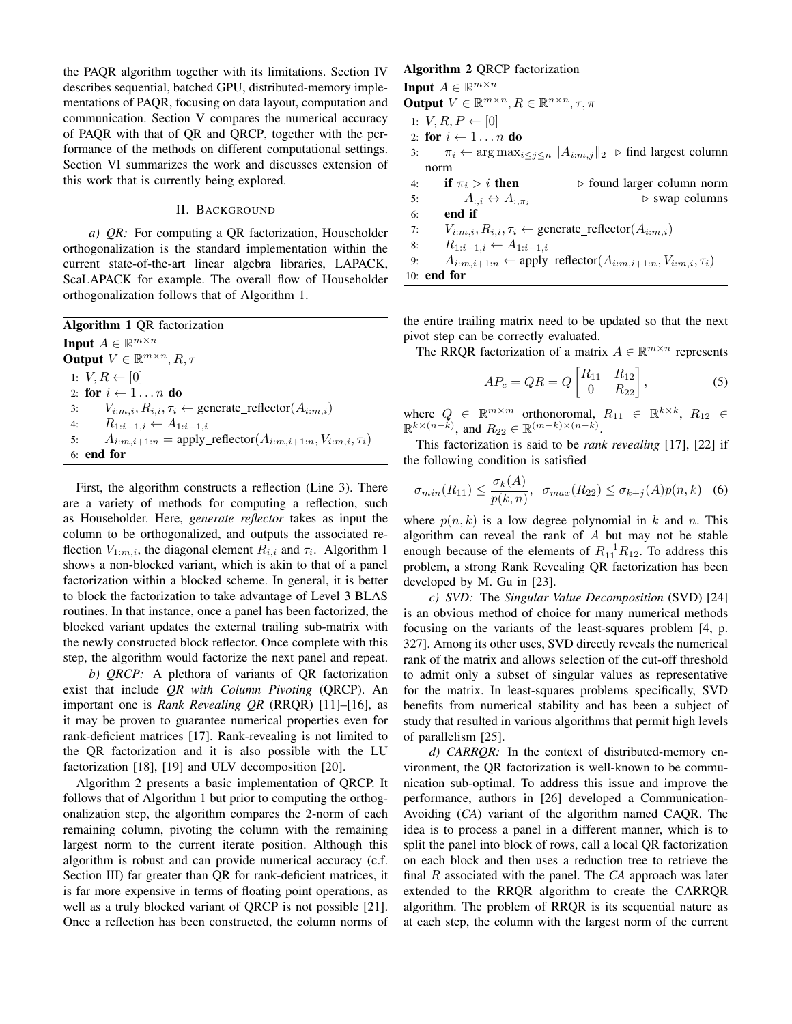the PAQR algorithm together with its limitations. Section IV describes sequential, batched GPU, distributed-memory implementations of PAQR, focusing on data layout, computation and communication. Section V compares the numerical accuracy of PAQR with that of QR and QRCP, together with the performance of the methods on different computational settings. Section VI summarizes the work and discusses extension of this work that is currently being explored.

#### II. BACKGROUND

*a) QR:* For computing a QR factorization, Householder orthogonalization is the standard implementation within the current state-of-the-art linear algebra libraries, LAPACK, ScaLAPACK for example. The overall flow of Householder orthogonalization follows that of Algorithm 1.

| <b>Algorithm 1 QR</b> factorization                                               |
|-----------------------------------------------------------------------------------|
| <b>Input</b> $A \in \mathbb{R}^{m \times n}$                                      |
| <b>Output</b> $V \in \mathbb{R}^{m \times n}, R, \tau$                            |
| 1: $V, R \leftarrow [0]$                                                          |
| 2: for $i \leftarrow 1n$ do                                                       |
| $V_{i:m,i}, R_{i,i}, \tau_i \leftarrow$ generate_reflector( $A_{i:m,i}$ )<br>3:   |
| 4: $R_{1:i-1,i} \leftarrow A_{1:i-1,i}$                                           |
| $A_{i:m,i+1:n} = \text{apply\_reflector}(A_{i:m,i+1:n}, V_{i:m,i}, \tau_i)$<br>5: |
| $6:$ end for                                                                      |

First, the algorithm constructs a reflection (Line 3). There are a variety of methods for computing a reflection, such as Householder. Here, *generate reflector* takes as input the column to be orthogonalized, and outputs the associated reflection  $V_{1:m,i}$ , the diagonal element  $R_{i,i}$  and  $\tau_i$ . Algorithm 1 shows a non-blocked variant, which is akin to that of a panel factorization within a blocked scheme. In general, it is better to block the factorization to take advantage of Level 3 BLAS routines. In that instance, once a panel has been factorized, the blocked variant updates the external trailing sub-matrix with the newly constructed block reflector. Once complete with this step, the algorithm would factorize the next panel and repeat.

*b) QRCP:* A plethora of variants of QR factorization exist that include *QR with Column Pivoting* (QRCP). An important one is *Rank Revealing QR* (RRQR) [11]–[16], as it may be proven to guarantee numerical properties even for rank-deficient matrices [17]. Rank-revealing is not limited to the QR factorization and it is also possible with the LU factorization [18], [19] and ULV decomposition [20].

Algorithm 2 presents a basic implementation of QRCP. It follows that of Algorithm 1 but prior to computing the orthogonalization step, the algorithm compares the 2-norm of each remaining column, pivoting the column with the remaining largest norm to the current iterate position. Although this algorithm is robust and can provide numerical accuracy (c.f. Section III) far greater than QR for rank-deficient matrices, it is far more expensive in terms of floating point operations, as well as a truly blocked variant of QRCP is not possible [21]. Once a reflection has been constructed, the column norms of

# Algorithm 2 QRCP factorization

**Input**  $A \in \mathbb{R}^{m \times n}$ Output  $V \in \mathbb{R}^{m \times n}$ ,  $R \in \mathbb{R}^{n \times n}$ ,  $\tau$ ,  $\pi$ 1:  $V, R, P \leftarrow [0]$ 2: for  $i \leftarrow 1 \ldots n$  do 3:  $\pi_i \leftarrow \arg \max_{i \leq j \leq n} \|A_{i:m,j}\|_2$   $\triangleright$  find largest column norm 4: if  $\pi_i > i$  then  $\Rightarrow$  found larger column norm 5:  $A_{:,i} \leftrightarrow A_{:, \pi_i}$  $\triangleright$  swap columns 6: end if 7:  $V_{i:m,i}, R_{i,i}, \tau_i \leftarrow$  generate\_reflector( $A_{i:m,i}$ ) 8:  $R_{1:i-1,i} \leftarrow A_{1:i-1,i}$ 9:  $A_{i:m,i+1:n} \leftarrow \text{apply\_reflector}(A_{i:m,i+1:n}, V_{i:m,i}, \tau_i)$ 10: end for

the entire trailing matrix need to be updated so that the next pivot step can be correctly evaluated.

The RRQR factorization of a matrix  $A \in \mathbb{R}^{m \times n}$  represents

$$
AP_c = QR = Q \begin{bmatrix} R_{11} & R_{12} \\ 0 & R_{22} \end{bmatrix},
$$
 (5)

where  $Q \in \mathbb{R}^{m \times m}$  orthonoromal,  $R_{11} \in \mathbb{R}^{k \times k}$ ,  $R_{12} \in$  $\mathbb{R}^{k \times (n-k)}$ , and  $R_{22} \in \mathbb{R}^{(m-k) \times (n-k)}$ .

This factorization is said to be *rank revealing* [17], [22] if the following condition is satisfied

$$
\sigma_{min}(R_{11}) \le \frac{\sigma_k(A)}{p(k,n)}, \quad \sigma_{max}(R_{22}) \le \sigma_{k+j}(A)p(n,k) \quad (6)
$$

where  $p(n, k)$  is a low degree polynomial in k and n. This algorithm can reveal the rank of  $A$  but may not be stable enough because of the elements of  $R_{11}^{-1}R_{12}$ . To address this problem, a strong Rank Revealing QR factorization has been developed by M. Gu in [23].

*c) SVD:* The *Singular Value Decomposition* (SVD) [24] is an obvious method of choice for many numerical methods focusing on the variants of the least-squares problem [4, p. 327]. Among its other uses, SVD directly reveals the numerical rank of the matrix and allows selection of the cut-off threshold to admit only a subset of singular values as representative for the matrix. In least-squares problems specifically, SVD benefits from numerical stability and has been a subject of study that resulted in various algorithms that permit high levels of parallelism [25].

*d) CARRQR:* In the context of distributed-memory environment, the QR factorization is well-known to be communication sub-optimal. To address this issue and improve the performance, authors in [26] developed a Communication-Avoiding (*CA*) variant of the algorithm named CAQR. The idea is to process a panel in a different manner, which is to split the panel into block of rows, call a local QR factorization on each block and then uses a reduction tree to retrieve the final R associated with the panel. The *CA* approach was later extended to the RRQR algorithm to create the CARRQR algorithm. The problem of RRQR is its sequential nature as at each step, the column with the largest norm of the current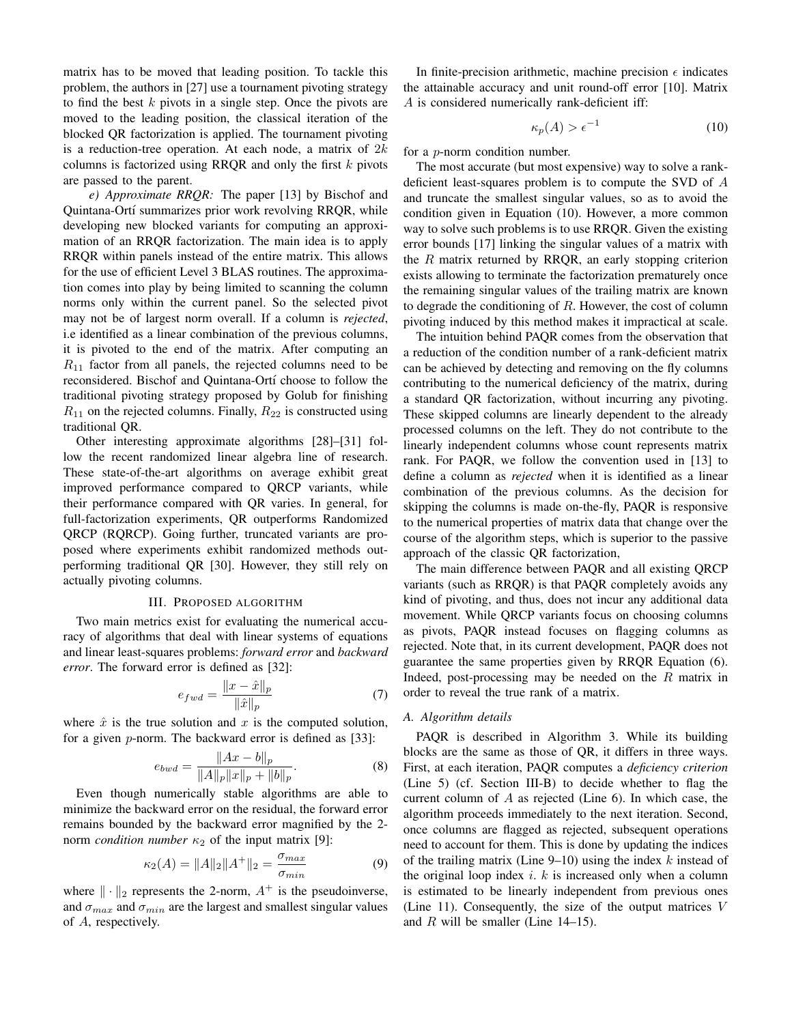matrix has to be moved that leading position. To tackle this problem, the authors in [27] use a tournament pivoting strategy to find the best  $k$  pivots in a single step. Once the pivots are moved to the leading position, the classical iteration of the blocked QR factorization is applied. The tournament pivoting is a reduction-tree operation. At each node, a matrix of  $2k$ columns is factorized using RRQR and only the first  $k$  pivots are passed to the parent.

*e) Approximate RRQR:* The paper [13] by Bischof and Quintana-Ortí summarizes prior work revolving RRQR, while developing new blocked variants for computing an approximation of an RRQR factorization. The main idea is to apply RRQR within panels instead of the entire matrix. This allows for the use of efficient Level 3 BLAS routines. The approximation comes into play by being limited to scanning the column norms only within the current panel. So the selected pivot may not be of largest norm overall. If a column is *rejected*, i.e identified as a linear combination of the previous columns, it is pivoted to the end of the matrix. After computing an  $R_{11}$  factor from all panels, the rejected columns need to be reconsidered. Bischof and Quintana-Ortí choose to follow the traditional pivoting strategy proposed by Golub for finishing  $R_{11}$  on the rejected columns. Finally,  $R_{22}$  is constructed using traditional QR.

Other interesting approximate algorithms [28]–[31] follow the recent randomized linear algebra line of research. These state-of-the-art algorithms on average exhibit great improved performance compared to QRCP variants, while their performance compared with QR varies. In general, for full-factorization experiments, QR outperforms Randomized QRCP (RQRCP). Going further, truncated variants are proposed where experiments exhibit randomized methods outperforming traditional QR [30]. However, they still rely on actually pivoting columns.

#### III. PROPOSED ALGORITHM

Two main metrics exist for evaluating the numerical accuracy of algorithms that deal with linear systems of equations and linear least-squares problems: *forward error* and *backward error*. The forward error is defined as [32]:

$$
e_{fwd} = \frac{\|x - \hat{x}\|_p}{\|\hat{x}\|_p} \tag{7}
$$

where  $\hat{x}$  is the true solution and x is the computed solution, for a given p-norm. The backward error is defined as [33]:

$$
e_{bwd} = \frac{||Ax - b||_p}{||A||_p ||x||_p + ||b||_p}.
$$
 (8)

Even though numerically stable algorithms are able to minimize the backward error on the residual, the forward error remains bounded by the backward error magnified by the 2 norm *condition number*  $\kappa_2$  of the input matrix [9]:

$$
\kappa_2(A) = ||A||_2 ||A^+||_2 = \frac{\sigma_{max}}{\sigma_{min}} \tag{9}
$$

where  $\|\cdot\|_2$  represents the 2-norm,  $A^+$  is the pseudoinverse, and  $\sigma_{max}$  and  $\sigma_{min}$  are the largest and smallest singular values of A, respectively.

In finite-precision arithmetic, machine precision  $\epsilon$  indicates the attainable accuracy and unit round-off error [10]. Matrix A is considered numerically rank-deficient iff:

$$
\kappa_p(A) > \epsilon^{-1} \tag{10}
$$

for a p-norm condition number.

The most accurate (but most expensive) way to solve a rankdeficient least-squares problem is to compute the SVD of A and truncate the smallest singular values, so as to avoid the condition given in Equation (10). However, a more common way to solve such problems is to use RRQR. Given the existing error bounds [17] linking the singular values of a matrix with the  $R$  matrix returned by RRQR, an early stopping criterion exists allowing to terminate the factorization prematurely once the remaining singular values of the trailing matrix are known to degrade the conditioning of  $R$ . However, the cost of column pivoting induced by this method makes it impractical at scale.

The intuition behind PAQR comes from the observation that a reduction of the condition number of a rank-deficient matrix can be achieved by detecting and removing on the fly columns contributing to the numerical deficiency of the matrix, during a standard QR factorization, without incurring any pivoting. These skipped columns are linearly dependent to the already processed columns on the left. They do not contribute to the linearly independent columns whose count represents matrix rank. For PAQR, we follow the convention used in [13] to define a column as *rejected* when it is identified as a linear combination of the previous columns. As the decision for skipping the columns is made on-the-fly, PAQR is responsive to the numerical properties of matrix data that change over the course of the algorithm steps, which is superior to the passive approach of the classic QR factorization,

The main difference between PAQR and all existing QRCP variants (such as RRQR) is that PAQR completely avoids any kind of pivoting, and thus, does not incur any additional data movement. While QRCP variants focus on choosing columns as pivots, PAQR instead focuses on flagging columns as rejected. Note that, in its current development, PAQR does not guarantee the same properties given by RRQR Equation (6). Indeed, post-processing may be needed on the  $R$  matrix in order to reveal the true rank of a matrix.

## *A. Algorithm details*

PAQR is described in Algorithm 3. While its building blocks are the same as those of QR, it differs in three ways. First, at each iteration, PAQR computes a *deficiency criterion* (Line 5) (cf. Section III-B) to decide whether to flag the current column of A as rejected (Line 6). In which case, the algorithm proceeds immediately to the next iteration. Second, once columns are flagged as rejected, subsequent operations need to account for them. This is done by updating the indices of the trailing matrix (Line 9–10) using the index  $k$  instead of the original loop index  $i. k$  is increased only when a column is estimated to be linearly independent from previous ones (Line 11). Consequently, the size of the output matrices V and  $R$  will be smaller (Line 14–15).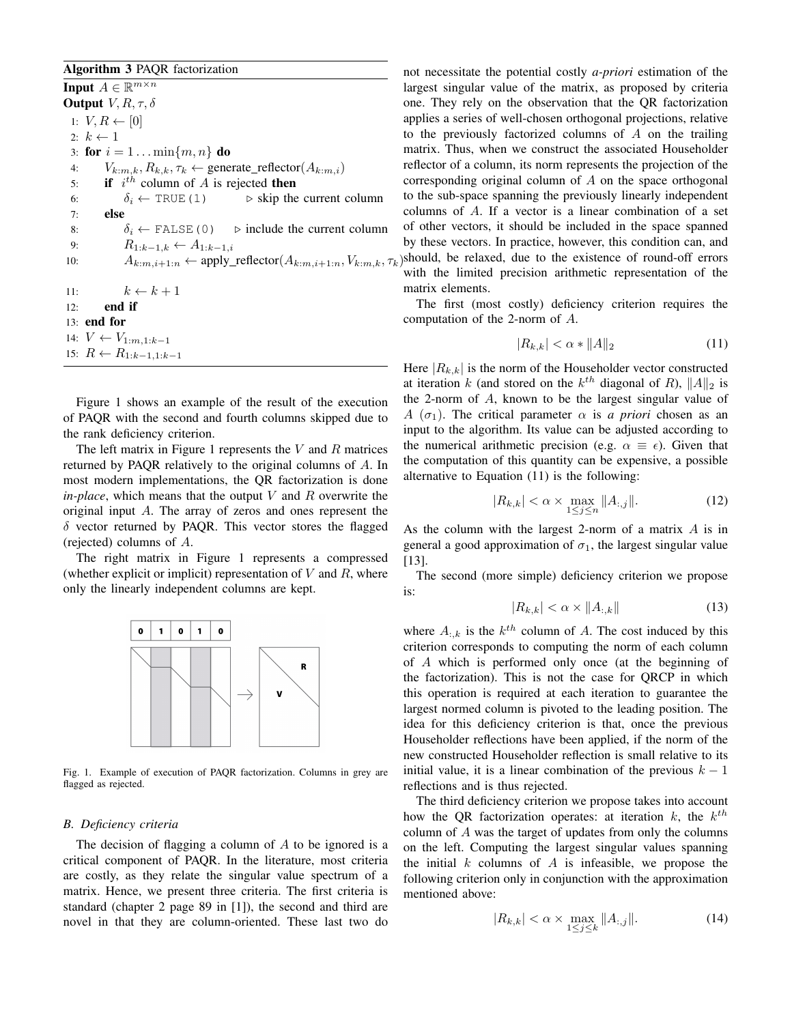# Algorithm 3 PAQR factorization

**Input**  $A \in \mathbb{R}^{m \times n}$ **Output**  $V, R, \tau, \delta$ 1:  $V, R \leftarrow [0]$ 2:  $k \leftarrow 1$ 3: for  $i = 1 ... \min\{m, n\}$  do 4:  $V_{k:m,k}, R_{k,k}, \tau_k \leftarrow$  generate\_reflector( $A_{k:m,i}$ ) 5: if  $i^{th}$  column of A is rejected then 6:  $\delta_i \leftarrow \text{TRUE} (1) \qquad \Rightarrow \text{skip the current column}$ 7: else 8:  $\delta_i \leftarrow \text{FALSE} (0)$   $\Rightarrow$  include the current column 9:  $R_{1:k-1,k} \leftarrow A_{1:k-1,i}$ 10:  $A_{k:m,i+1:n} \leftarrow \text{apply\_reflector}(A_{k:m,i+1:n}, V_{k:m,k}, \tau_k)$ should, be relaxed, due to the existence of round-off errors 11:  $k \leftarrow k + 1$ 12: end if 13: end for 14:  $V \leftarrow V_{1:m,1:k-1}$ 15:  $R \leftarrow R_{1:k-1,1:k-1}$ 

Figure 1 shows an example of the result of the execution of PAQR with the second and fourth columns skipped due to the rank deficiency criterion.

The left matrix in Figure 1 represents the  $V$  and  $R$  matrices returned by PAQR relatively to the original columns of A. In most modern implementations, the QR factorization is done  $in$ -*place*, which means that the output V and R overwrite the original input A. The array of zeros and ones represent the  $\delta$  vector returned by PAQR. This vector stores the flagged (rejected) columns of A.

The right matrix in Figure 1 represents a compressed (whether explicit or implicit) representation of  $V$  and  $R$ , where only the linearly independent columns are kept.



Fig. 1. Example of execution of PAQR factorization. Columns in grey are flagged as rejected.

## *B. Deficiency criteria*

The decision of flagging a column of  $A$  to be ignored is a critical component of PAQR. In the literature, most criteria are costly, as they relate the singular value spectrum of a matrix. Hence, we present three criteria. The first criteria is standard (chapter 2 page 89 in [1]), the second and third are novel in that they are column-oriented. These last two do not necessitate the potential costly *a-priori* estimation of the largest singular value of the matrix, as proposed by criteria one. They rely on the observation that the QR factorization applies a series of well-chosen orthogonal projections, relative to the previously factorized columns of  $A$  on the trailing matrix. Thus, when we construct the associated Householder reflector of a column, its norm represents the projection of the corresponding original column of A on the space orthogonal to the sub-space spanning the previously linearly independent columns of A. If a vector is a linear combination of a set of other vectors, it should be included in the space spanned by these vectors. In practice, however, this condition can, and with the limited precision arithmetic representation of the matrix elements.

The first (most costly) deficiency criterion requires the computation of the 2-norm of A.

$$
|R_{k,k}| < \alpha * \|A\|_2 \tag{11}
$$

Here  $|R_{k,k}|$  is the norm of the Householder vector constructed at iteration k (and stored on the  $k^{th}$  diagonal of R),  $||A||_2$  is the 2-norm of A, known to be the largest singular value of A  $(\sigma_1)$ . The critical parameter  $\alpha$  is *a priori* chosen as an input to the algorithm. Its value can be adjusted according to the numerical arithmetic precision (e.g.  $\alpha \equiv \epsilon$ ). Given that the computation of this quantity can be expensive, a possible alternative to Equation (11) is the following:

$$
|R_{k,k}| < \alpha \times \max_{1 \le j \le n} \|A_{:,j}\|.\tag{12}
$$

As the column with the largest 2-norm of a matrix A is in general a good approximation of  $\sigma_1$ , the largest singular value [13].

The second (more simple) deficiency criterion we propose is:

$$
|R_{k,k}| < \alpha \times \|A_{:,k}\| \tag{13}
$$

where  $A_{:,k}$  is the  $k^{th}$  column of A. The cost induced by this criterion corresponds to computing the norm of each column of A which is performed only once (at the beginning of the factorization). This is not the case for QRCP in which this operation is required at each iteration to guarantee the largest normed column is pivoted to the leading position. The idea for this deficiency criterion is that, once the previous Householder reflections have been applied, if the norm of the new constructed Householder reflection is small relative to its initial value, it is a linear combination of the previous  $k - 1$ reflections and is thus rejected.

The third deficiency criterion we propose takes into account how the QR factorization operates: at iteration  $k$ , the  $k^{th}$ column of A was the target of updates from only the columns on the left. Computing the largest singular values spanning the initial  $k$  columns of  $A$  is infeasible, we propose the following criterion only in conjunction with the approximation mentioned above:

$$
|R_{k,k}| < \alpha \times \max_{1 \le j \le k} \|A_{:,j}\|.\tag{14}
$$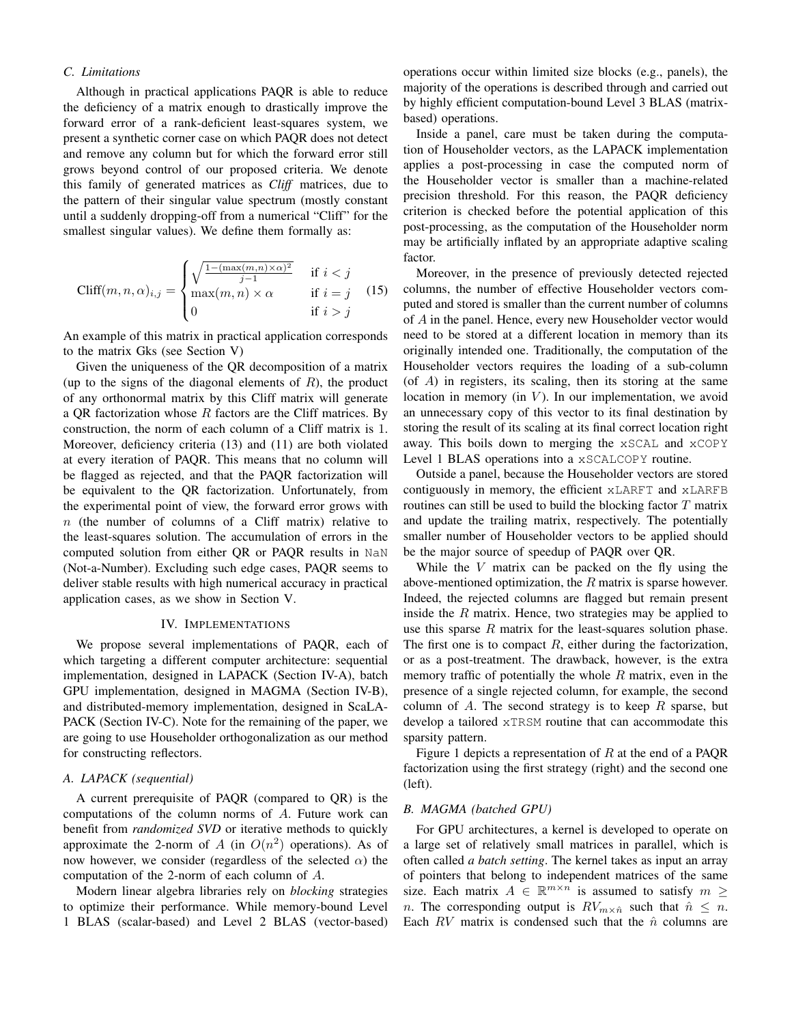# *C. Limitations*

Although in practical applications PAQR is able to reduce the deficiency of a matrix enough to drastically improve the forward error of a rank-deficient least-squares system, we present a synthetic corner case on which PAQR does not detect and remove any column but for which the forward error still grows beyond control of our proposed criteria. We denote this family of generated matrices as *Cliff* matrices, due to the pattern of their singular value spectrum (mostly constant until a suddenly dropping-off from a numerical "Cliff" for the smallest singular values). We define them formally as:

$$
\text{Cliff}(m, n, \alpha)_{i,j} = \begin{cases} \sqrt{\frac{1 - (\max(m, n) \times \alpha)^2}{j - 1}} & \text{if } i < j \\ \max(m, n) \times \alpha & \text{if } i = j \\ 0 & \text{if } i > j \end{cases} \tag{15}
$$

An example of this matrix in practical application corresponds to the matrix Gks (see Section V)

Given the uniqueness of the QR decomposition of a matrix (up to the signs of the diagonal elements of  $R$ ), the product of any orthonormal matrix by this Cliff matrix will generate a QR factorization whose  $R$  factors are the Cliff matrices. By construction, the norm of each column of a Cliff matrix is 1. Moreover, deficiency criteria (13) and (11) are both violated at every iteration of PAQR. This means that no column will be flagged as rejected, and that the PAQR factorization will be equivalent to the QR factorization. Unfortunately, from the experimental point of view, the forward error grows with  $n$  (the number of columns of a Cliff matrix) relative to the least-squares solution. The accumulation of errors in the computed solution from either QR or PAQR results in NaN (Not-a-Number). Excluding such edge cases, PAQR seems to deliver stable results with high numerical accuracy in practical application cases, as we show in Section V.

## IV. IMPLEMENTATIONS

We propose several implementations of PAQR, each of which targeting a different computer architecture: sequential implementation, designed in LAPACK (Section IV-A), batch GPU implementation, designed in MAGMA (Section IV-B), and distributed-memory implementation, designed in ScaLA-PACK (Section IV-C). Note for the remaining of the paper, we are going to use Householder orthogonalization as our method for constructing reflectors.

#### *A. LAPACK (sequential)*

A current prerequisite of PAQR (compared to QR) is the computations of the column norms of A. Future work can benefit from *randomized SVD* or iterative methods to quickly approximate the 2-norm of A (in  $O(n^2)$  operations). As of now however, we consider (regardless of the selected  $\alpha$ ) the computation of the 2-norm of each column of A.

Modern linear algebra libraries rely on *blocking* strategies to optimize their performance. While memory-bound Level 1 BLAS (scalar-based) and Level 2 BLAS (vector-based)

operations occur within limited size blocks (e.g., panels), the majority of the operations is described through and carried out by highly efficient computation-bound Level 3 BLAS (matrixbased) operations.

Inside a panel, care must be taken during the computation of Householder vectors, as the LAPACK implementation applies a post-processing in case the computed norm of the Householder vector is smaller than a machine-related precision threshold. For this reason, the PAQR deficiency criterion is checked before the potential application of this post-processing, as the computation of the Householder norm may be artificially inflated by an appropriate adaptive scaling factor.

Moreover, in the presence of previously detected rejected columns, the number of effective Householder vectors computed and stored is smaller than the current number of columns of A in the panel. Hence, every new Householder vector would need to be stored at a different location in memory than its originally intended one. Traditionally, the computation of the Householder vectors requires the loading of a sub-column  $($ of  $A)$  in registers, its scaling, then its storing at the same location in memory (in  $V$ ). In our implementation, we avoid an unnecessary copy of this vector to its final destination by storing the result of its scaling at its final correct location right away. This boils down to merging the xSCAL and xCOPY Level 1 BLAS operations into a xSCALCOPY routine.

Outside a panel, because the Householder vectors are stored contiguously in memory, the efficient xLARFT and xLARFB routines can still be used to build the blocking factor  $T$  matrix and update the trailing matrix, respectively. The potentially smaller number of Householder vectors to be applied should be the major source of speedup of PAQR over QR.

While the  $V$  matrix can be packed on the fly using the above-mentioned optimization, the  $R$  matrix is sparse however. Indeed, the rejected columns are flagged but remain present inside the  $R$  matrix. Hence, two strategies may be applied to use this sparse  $R$  matrix for the least-squares solution phase. The first one is to compact  $R$ , either during the factorization, or as a post-treatment. The drawback, however, is the extra memory traffic of potentially the whole  $R$  matrix, even in the presence of a single rejected column, for example, the second column of A. The second strategy is to keep  $R$  sparse, but develop a tailored xTRSM routine that can accommodate this sparsity pattern.

Figure 1 depicts a representation of  $R$  at the end of a PAQR factorization using the first strategy (right) and the second one (left).

# *B. MAGMA (batched GPU)*

For GPU architectures, a kernel is developed to operate on a large set of relatively small matrices in parallel, which is often called *a batch setting*. The kernel takes as input an array of pointers that belong to independent matrices of the same size. Each matrix  $A \in \mathbb{R}^{m \times n}$  is assumed to satisfy  $m \geq$ n. The corresponding output is  $RV_{m \times \hat{n}}$  such that  $\hat{n} \leq n$ . Each  $RV$  matrix is condensed such that the  $\hat{n}$  columns are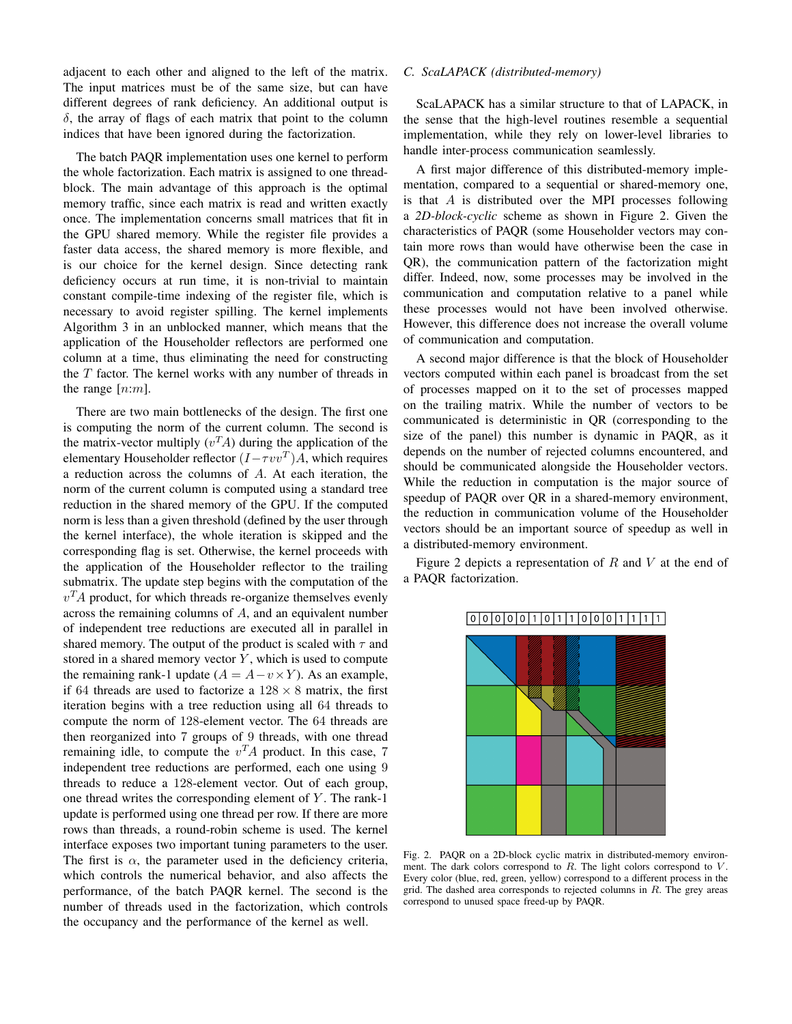adjacent to each other and aligned to the left of the matrix. The input matrices must be of the same size, but can have different degrees of rank deficiency. An additional output is  $\delta$ , the array of flags of each matrix that point to the column indices that have been ignored during the factorization.

The batch PAQR implementation uses one kernel to perform the whole factorization. Each matrix is assigned to one threadblock. The main advantage of this approach is the optimal memory traffic, since each matrix is read and written exactly once. The implementation concerns small matrices that fit in the GPU shared memory. While the register file provides a faster data access, the shared memory is more flexible, and is our choice for the kernel design. Since detecting rank deficiency occurs at run time, it is non-trivial to maintain constant compile-time indexing of the register file, which is necessary to avoid register spilling. The kernel implements Algorithm 3 in an unblocked manner, which means that the application of the Householder reflectors are performed one column at a time, thus eliminating the need for constructing the  $T$  factor. The kernel works with any number of threads in the range  $[n:m]$ .

There are two main bottlenecks of the design. The first one is computing the norm of the current column. The second is the matrix-vector multiply  $(v<sup>T</sup>A)$  during the application of the elementary Householder reflector  $(I - \tau vv^T)A$ , which requires a reduction across the columns of A. At each iteration, the norm of the current column is computed using a standard tree reduction in the shared memory of the GPU. If the computed norm is less than a given threshold (defined by the user through the kernel interface), the whole iteration is skipped and the corresponding flag is set. Otherwise, the kernel proceeds with the application of the Householder reflector to the trailing submatrix. The update step begins with the computation of the  $v<sup>T</sup>A$  product, for which threads re-organize themselves evenly across the remaining columns of A, and an equivalent number of independent tree reductions are executed all in parallel in shared memory. The output of the product is scaled with  $\tau$  and stored in a shared memory vector  $Y$ , which is used to compute the remaining rank-1 update ( $A = A - v \times Y$ ). As an example, if 64 threads are used to factorize a  $128 \times 8$  matrix, the first iteration begins with a tree reduction using all 64 threads to compute the norm of 128-element vector. The 64 threads are then reorganized into 7 groups of 9 threads, with one thread remaining idle, to compute the  $v<sup>T</sup>A$  product. In this case, 7 independent tree reductions are performed, each one using 9 threads to reduce a 128-element vector. Out of each group, one thread writes the corresponding element of  $Y$ . The rank-1 update is performed using one thread per row. If there are more rows than threads, a round-robin scheme is used. The kernel interface exposes two important tuning parameters to the user. The first is  $\alpha$ , the parameter used in the deficiency criteria, which controls the numerical behavior, and also affects the performance, of the batch PAQR kernel. The second is the number of threads used in the factorization, which controls the occupancy and the performance of the kernel as well.

# *C. ScaLAPACK (distributed-memory)*

ScaLAPACK has a similar structure to that of LAPACK, in the sense that the high-level routines resemble a sequential implementation, while they rely on lower-level libraries to handle inter-process communication seamlessly.

A first major difference of this distributed-memory implementation, compared to a sequential or shared-memory one, is that A is distributed over the MPI processes following a *2D-block-cyclic* scheme as shown in Figure 2. Given the characteristics of PAQR (some Householder vectors may contain more rows than would have otherwise been the case in QR), the communication pattern of the factorization might differ. Indeed, now, some processes may be involved in the communication and computation relative to a panel while these processes would not have been involved otherwise. However, this difference does not increase the overall volume of communication and computation.

A second major difference is that the block of Householder vectors computed within each panel is broadcast from the set of processes mapped on it to the set of processes mapped on the trailing matrix. While the number of vectors to be communicated is deterministic in QR (corresponding to the size of the panel) this number is dynamic in PAQR, as it depends on the number of rejected columns encountered, and should be communicated alongside the Householder vectors. While the reduction in computation is the major source of speedup of PAQR over QR in a shared-memory environment, the reduction in communication volume of the Householder vectors should be an important source of speedup as well in a distributed-memory environment.

Figure 2 depicts a representation of  $R$  and  $V$  at the end of a PAQR factorization.



Fig. 2. PAQR on a 2D-block cyclic matrix in distributed-memory environment. The dark colors correspond to  $R$ . The light colors correspond to  $V$ . Every color (blue, red, green, yellow) correspond to a different process in the grid. The dashed area corresponds to rejected columns in  $R$ . The grey areas correspond to unused space freed-up by PAQR.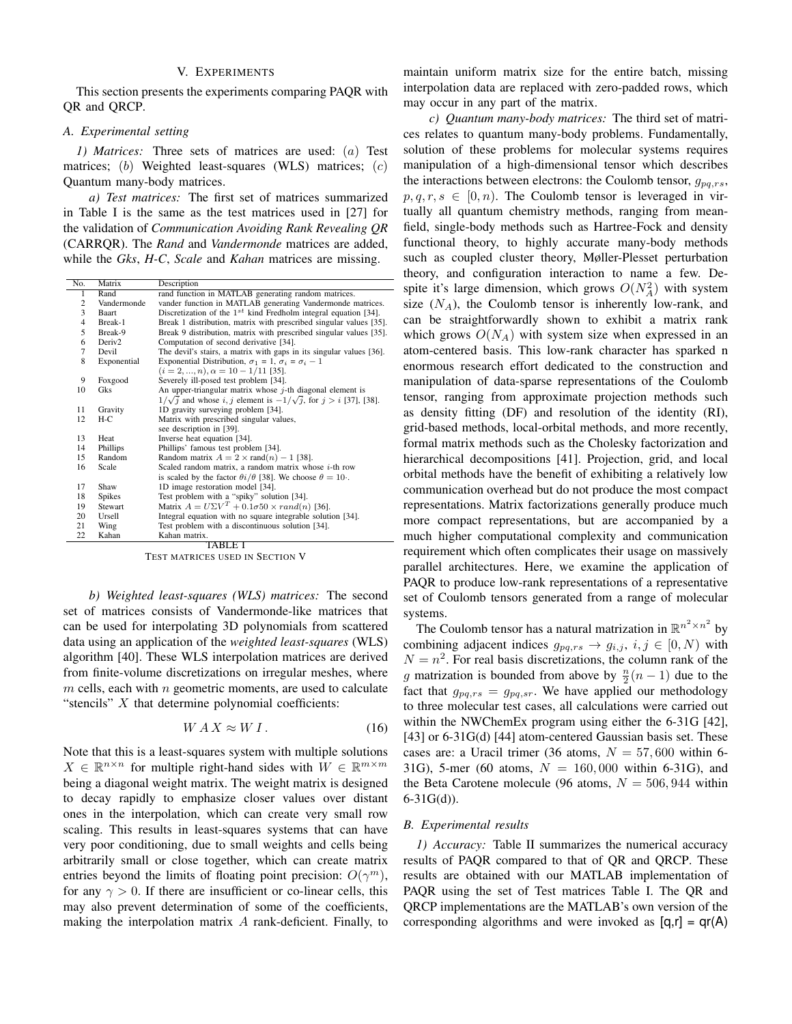# V. EXPERIMENTS

This section presents the experiments comparing PAQR with QR and QRCP.

### *A. Experimental setting*

*1) Matrices:* Three sets of matrices are used: (a) Test matrices; (b) Weighted least-squares (WLS) matrices;  $(c)$ Quantum many-body matrices.

*a) Test matrices:* The first set of matrices summarized in Table I is the same as the test matrices used in [27] for the validation of *Communication Avoiding Rank Revealing QR* (CARRQR). The *Rand* and *Vandermonde* matrices are added, while the *Gks*, *H-C*, *Scale* and *Kahan* matrices are missing.

| No.            | Matrix             | Description                                                                    |  |  |  |  |
|----------------|--------------------|--------------------------------------------------------------------------------|--|--|--|--|
| 1              | Rand               | rand function in MATLAB generating random matrices.                            |  |  |  |  |
| 2              | Vandermonde        | vander function in MATLAB generating Vandermonde matrices.                     |  |  |  |  |
| 3              | Baart              | Discretization of the $1^{st}$ kind Fredholm integral equation [34].           |  |  |  |  |
| $\overline{4}$ | Break-1            | Break 1 distribution, matrix with prescribed singular values [35].             |  |  |  |  |
| 5              | Break-9            | Break 9 distribution, matrix with prescribed singular values [35].             |  |  |  |  |
| 6              | Deriv <sub>2</sub> | Computation of second derivative [34].                                         |  |  |  |  |
| 7              | Devil              | The devil's stairs, a matrix with gaps in its singular values [36].            |  |  |  |  |
| 8              | Exponential        | Exponential Distribution, $\sigma_1 = 1$ , $\sigma_i = \sigma_i - 1$           |  |  |  |  |
|                |                    | $(i = 2, , n), \alpha = 10 - 1/11$ [35].                                       |  |  |  |  |
| 9              | Foxgood            | Severely ill-posed test problem [34].                                          |  |  |  |  |
| 10             | Gks                | An upper-triangular matrix whose $j$ -th diagonal element is                   |  |  |  |  |
|                |                    | $1/\sqrt{j}$ and whose i, j element is $-1/\sqrt{j}$ , for $j > i$ [37], [38]. |  |  |  |  |
| 11             | Gravity            | 1D gravity surveying problem [34].                                             |  |  |  |  |
| 12             | $H-C$              | Matrix with prescribed singular values,                                        |  |  |  |  |
|                |                    | see description in [39].                                                       |  |  |  |  |
| 13             | Heat               | Inverse heat equation [34].                                                    |  |  |  |  |
| 14             | Phillips           | Phillips' famous test problem [34].                                            |  |  |  |  |
| 15             | Random             | Random matrix $A = 2 \times \text{rand}(n) - 1$ [38].                          |  |  |  |  |
| 16             | Scale              | Scaled random matrix, a random matrix whose $i$ -th row                        |  |  |  |  |
|                |                    | is scaled by the factor $\theta i/\theta$ [38]. We choose $\theta = 10$ .      |  |  |  |  |
| 17             | Shaw               | 1D image restoration model [34].                                               |  |  |  |  |
| 18             | Spikes             | Test problem with a "spiky" solution [34].                                     |  |  |  |  |
| 19             | <b>Stewart</b>     | Matrix $A = U\Sigma V^T + 0.1\sigma 50 \times rand(n)$ [36].                   |  |  |  |  |
| 20             | Ursell             | Integral equation with no square integrable solution [34].                     |  |  |  |  |
| 21             | Wing               | Test problem with a discontinuous solution [34].                               |  |  |  |  |
| 22             | Kahan              | Kahan matrix.                                                                  |  |  |  |  |
| TABLE I        |                    |                                                                                |  |  |  |  |

TEST MATRICES USED IN SECTION V

*b) Weighted least-squares (WLS) matrices:* The second set of matrices consists of Vandermonde-like matrices that can be used for interpolating 3D polynomials from scattered data using an application of the *weighted least-squares* (WLS) algorithm [40]. These WLS interpolation matrices are derived from finite-volume discretizations on irregular meshes, where  $m$  cells, each with  $n$  geometric moments, are used to calculate "stencils"  $X$  that determine polynomial coefficients:

$$
WAX \approx W\,I\,. \tag{16}
$$

Note that this is a least-squares system with multiple solutions  $X \in \mathbb{R}^{n \times n}$  for multiple right-hand sides with  $W \in \mathbb{R}^{m \times m}$ being a diagonal weight matrix. The weight matrix is designed to decay rapidly to emphasize closer values over distant ones in the interpolation, which can create very small row scaling. This results in least-squares systems that can have very poor conditioning, due to small weights and cells being arbitrarily small or close together, which can create matrix entries beyond the limits of floating point precision:  $O(\gamma^m)$ , for any  $\gamma > 0$ . If there are insufficient or co-linear cells, this may also prevent determination of some of the coefficients, making the interpolation matrix A rank-deficient. Finally, to maintain uniform matrix size for the entire batch, missing interpolation data are replaced with zero-padded rows, which may occur in any part of the matrix.

*c) Quantum many-body matrices:* The third set of matrices relates to quantum many-body problems. Fundamentally, solution of these problems for molecular systems requires manipulation of a high-dimensional tensor which describes the interactions between electrons: the Coulomb tensor,  $g_{pq,rs}$ ,  $p, q, r, s \in [0, n)$ . The Coulomb tensor is leveraged in virtually all quantum chemistry methods, ranging from meanfield, single-body methods such as Hartree-Fock and density functional theory, to highly accurate many-body methods such as coupled cluster theory, Møller-Plesset perturbation theory, and configuration interaction to name a few. Despite it's large dimension, which grows  $O(N_A^2)$  with system size  $(N_A)$ , the Coulomb tensor is inherently low-rank, and can be straightforwardly shown to exhibit a matrix rank which grows  $O(N_A)$  with system size when expressed in an atom-centered basis. This low-rank character has sparked n enormous research effort dedicated to the construction and manipulation of data-sparse representations of the Coulomb tensor, ranging from approximate projection methods such as density fitting (DF) and resolution of the identity (RI), grid-based methods, local-orbital methods, and more recently, formal matrix methods such as the Cholesky factorization and hierarchical decompositions [41]. Projection, grid, and local orbital methods have the benefit of exhibiting a relatively low communication overhead but do not produce the most compact representations. Matrix factorizations generally produce much more compact representations, but are accompanied by a much higher computational complexity and communication requirement which often complicates their usage on massively parallel architectures. Here, we examine the application of PAQR to produce low-rank representations of a representative set of Coulomb tensors generated from a range of molecular systems.

The Coulomb tensor has a natural matrization in  $\mathbb{R}^{n^2 \times n^2}$  by combining adjacent indices  $g_{pq,rs} \rightarrow g_{i,j}, i, j \in [0, N)$  with  $N = n<sup>2</sup>$ . For real basis discretizations, the column rank of the g matrization is bounded from above by  $\frac{n}{2}(n-1)$  due to the fact that  $g_{pq,rs} = g_{pq,sr}$ . We have applied our methodology to three molecular test cases, all calculations were carried out within the NWChemEx program using either the 6-31G [42], [43] or 6-31G(d) [44] atom-centered Gaussian basis set. These cases are: a Uracil trimer (36 atoms,  $N = 57,600$  within 6-31G), 5-mer (60 atoms,  $N = 160,000$  within 6-31G), and the Beta Carotene molecule (96 atoms,  $N = 506, 944$  within 6-31G(d)).

#### *B. Experimental results*

*1) Accuracy:* Table II summarizes the numerical accuracy results of PAQR compared to that of QR and QRCP. These results are obtained with our MATLAB implementation of PAQR using the set of Test matrices Table I. The QR and QRCP implementations are the MATLAB's own version of the corresponding algorithms and were invoked as  $[q,r] = qr(A)$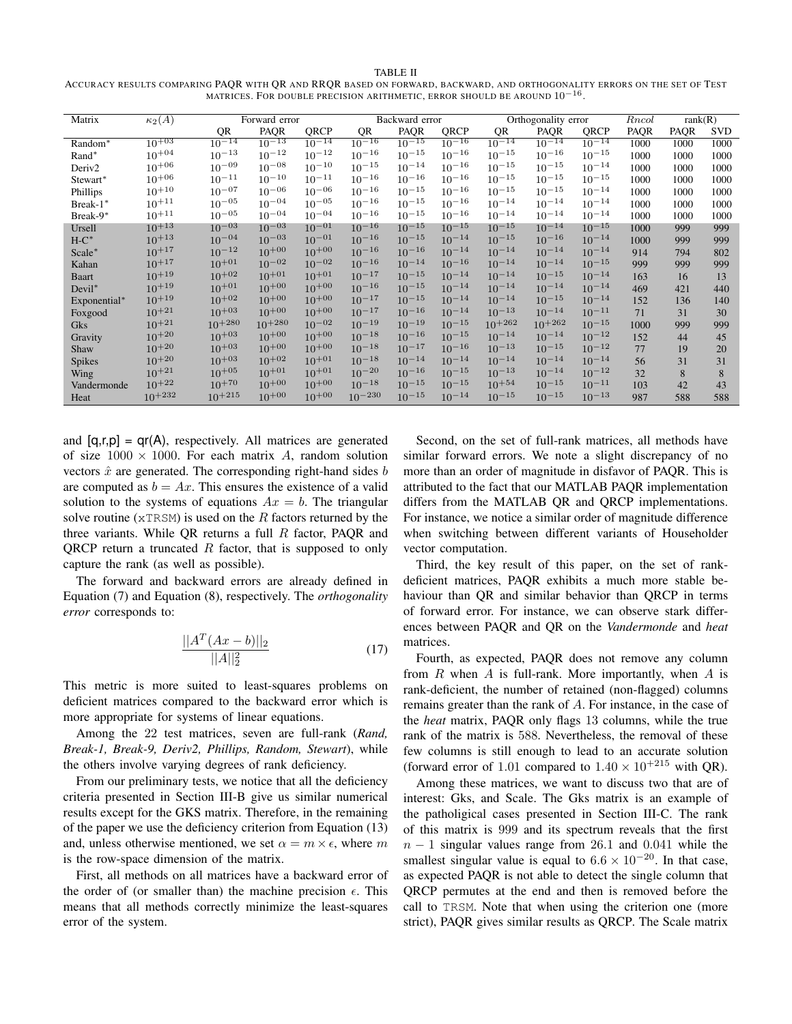#### TABLE II

ACCURACY RESULTS COMPARING PAQR WITH QR AND RRQR BASED ON FORWARD, BACKWARD, AND ORTHOGONALITY ERRORS ON THE SET OF TEST MATRICES. FOR DOUBLE PRECISION ARITHMETIC, ERROR SHOULD BE AROUND  $10^{-16}$ .

| Matrix             | $\kappa_2(\overline{A})$ |             | Forward error<br>Backward error |            |             | Orthogonality error |            |             | Rncol       | rank(R)    |      |      |            |
|--------------------|--------------------------|-------------|---------------------------------|------------|-------------|---------------------|------------|-------------|-------------|------------|------|------|------------|
|                    |                          | QR          | PAQR                            | QRCP       | QR          | PAQR                | QRCP       | QR          | <b>PAQR</b> | QRCP       | PAQR | PAQR | <b>SVD</b> |
| Random*            | $10^{+03}$               | $10^{-14}$  | $10^{-13}$                      | $10^{-14}$ | $10^{-16}$  | $10^{-15}$          | $10^{-16}$ | $10^{-14}$  | $10^{-14}$  | $10^{-14}$ | 1000 | 1000 | 1000       |
| Rand*              | $10^{+04}$               | $10^{-13}$  | $10^{-12}$                      | $10^{-12}$ | $10^{-16}$  | $10^{-15}$          | $10^{-16}$ | $10^{-15}$  | $10^{-16}$  | $10^{-15}$ | 1000 | 1000 | 1000       |
| Deriv <sub>2</sub> | $10^{+06}$               | $10^{-09}$  | $10^{-08}$                      | $10^{-10}$ | $10^{-15}$  | $10^{-14}$          | $10^{-16}$ | $10^{-15}$  | $10^{-15}$  | $10^{-14}$ | 1000 | 1000 | 1000       |
| Stewart*           | $10^{+06}$               | $10^{-11}$  | $10^{-10}$                      | $10^{-11}$ | $10^{-16}$  | $10^{-16}$          | $10^{-16}$ | $10^{-15}$  | $10^{-15}$  | $10^{-15}$ | 1000 | 1000 | 1000       |
| Phillips           | $10^{+10}$               | $10^{-07}$  | $10^{-06}$                      | $10^{-06}$ | $10^{-16}$  | $10^{-15}$          | $10^{-16}$ | $10^{-15}$  | $10^{-15}$  | $10^{-14}$ | 1000 | 1000 | 1000       |
| Break-1*           | $10^{+11}\,$             | $10^{-05}$  | $10^{-04}$                      | $10^{-05}$ | $10^{-16}$  | $10^{-15}$          | $10^{-16}$ | $10^{-14}$  | $10^{-14}$  | $10^{-14}$ | 1000 | 1000 | 1000       |
| Break-9*           | $10^{+11}\,$             | $10^{-05}$  | $10^{-04}$                      | $10^{-04}$ | $10^{-16}$  | $10^{-15}$          | $10^{-16}$ | $10^{-14}$  | $10^{-14}$  | $10^{-14}$ | 1000 | 1000 | 1000       |
| Ursell             | $10^{+13}$               | $10^{-03}$  | $10^{-03}$                      | $10^{-01}$ | $10^{-16}$  | $10^{-15}$          | $10^{-15}$ | $10^{-15}$  | $10^{-14}$  | $10^{-15}$ | 1000 | 999  | 999        |
| $H-C^*$            | $10+13$                  | $10^{-04}$  | $10^{-03}$                      | $10^{-01}$ | $10^{-16}$  | $10^{-15}$          | $10^{-14}$ | $10^{-15}$  | $10^{-16}$  | $10^{-14}$ | 1000 | 999  | 999        |
| Scale*             | $10+17$                  | $10^{-12}$  | $10^{+00}$                      | $10^{+00}$ | $10^{-16}$  | $10^{-16}$          | $10^{-14}$ | $10^{-14}$  | $10^{-14}$  | $10^{-14}$ | 914  | 794  | 802        |
| Kahan              | $10+17$                  | $10^{+01}$  | $10^{-02}$                      | $10^{-02}$ | $10^{-16}$  | $10^{-14}$          | $10^{-16}$ | $10^{-14}$  | $10^{-14}$  | $10^{-15}$ | 999  | 999  | 999        |
| <b>Baart</b>       | $10^{+19}$               | $10^{+02}$  | $10^{+01}$                      | $10^{+01}$ | $10^{-17}$  | $10^{-15}$          | $10^{-14}$ | $10^{-14}$  | $10^{-15}$  | $10^{-14}$ | 163  | 16   | 13         |
| $Devil*$           | $10^{+19}$               | $10^{+01}$  | $10^{+00}$                      | $10^{+00}$ | $10^{-16}$  | $10^{-15}$          | $10^{-14}$ | $10^{-14}$  | $10^{-14}$  | $10^{-14}$ | 469  | 421  | 440        |
| Exponential*       | $10^{+19}$               | $10^{+02}$  | $10^{+00}$                      | $10^{+00}$ | $10^{-17}$  | $10^{-15}$          | $10^{-14}$ | $10^{-14}$  | $10^{-15}$  | $10^{-14}$ | 152  | 136  | 140        |
| Foxgood            | $10^{+21}$               | $10^{+03}$  | $10^{+00}$                      | $10^{+00}$ | $10^{-17}$  | $10^{-16}$          | $10^{-14}$ | $10^{-13}$  | $10^{-14}$  | $10^{-11}$ | 71   | 31   | 30         |
| Gks                | $10^{+21}$               | $10^{+280}$ | $10^{+280}$                     | $10^{-02}$ | $10^{-19}$  | $10^{-19}$          | $10^{-15}$ | $10^{+262}$ | $10^{+262}$ | $10^{-15}$ | 1000 | 999  | 999        |
| Gravity            | $10^{+20}$               | $10^{+03}$  | $10^{+00}$                      | $10^{+00}$ | $10^{-18}$  | $10^{-16}$          | $10^{-15}$ | $10^{-14}$  | $10^{-14}$  | $10^{-12}$ | 152  | 44   | 45         |
| Shaw               | $10^{+20}$               | $10^{+03}$  | $10^{+00}$                      | $10^{+00}$ | $10^{-18}$  | $10^{-17}$          | $10^{-16}$ | $10^{-13}$  | $10^{-15}$  | $10^{-12}$ | 77   | 19   | 20         |
| Spikes             | $10^{+20}$               | $10^{+03}$  | $10^{+02}$                      | $10^{+01}$ | $10^{-18}$  | $10^{-14}$          | $10^{-14}$ | $10^{-14}$  | $10^{-14}$  | $10^{-14}$ | 56   | 31   | 31         |
| Wing               | $10^{+21}$               | $10^{+05}$  | $10^{+01}$                      | $10^{+01}$ | $10^{-20}$  | $10^{-16}$          | $10^{-15}$ | $10^{-13}$  | $10^{-14}$  | $10^{-12}$ | 32   | 8    | 8          |
| Vandermonde        | $10^{+22}$               | $10^{+70}$  | $10^{+00}$                      | $10^{+00}$ | $10^{-18}$  | $10^{-15}$          | $10^{-15}$ | $10^{+54}$  | $10^{-15}$  | $10^{-11}$ | 103  | 42   | 43         |
| Heat               | $10^{+232}$              | $10+215$    | $10^{+00}$                      | $10^{+00}$ | $10^{-230}$ | $10^{-15}$          | $10^{-14}$ | $10^{-15}$  | $10^{-15}$  | $10^{-13}$ | 987  | 588  | 588        |

and  $[q, r, p] = qr(A)$ , respectively. All matrices are generated of size  $1000 \times 1000$ . For each matrix A, random solution vectors  $\hat{x}$  are generated. The corresponding right-hand sides b are computed as  $b = Ax$ . This ensures the existence of a valid solution to the systems of equations  $Ax = b$ . The triangular solve routine ( $xTRSM$ ) is used on the R factors returned by the three variants. While QR returns a full  $R$  factor, PAQR and QRCP return a truncated  $R$  factor, that is supposed to only capture the rank (as well as possible).

The forward and backward errors are already defined in Equation (7) and Equation (8), respectively. The *orthogonality error* corresponds to:

$$
\frac{||A^T(Ax - b)||_2}{||A||_2^2}
$$
 (17)

This metric is more suited to least-squares problems on deficient matrices compared to the backward error which is more appropriate for systems of linear equations.

Among the 22 test matrices, seven are full-rank (*Rand, Break-1, Break-9, Deriv2, Phillips, Random, Stewart*), while the others involve varying degrees of rank deficiency.

From our preliminary tests, we notice that all the deficiency criteria presented in Section III-B give us similar numerical results except for the GKS matrix. Therefore, in the remaining of the paper we use the deficiency criterion from Equation (13) and, unless otherwise mentioned, we set  $\alpha = m \times \epsilon$ , where m is the row-space dimension of the matrix.

First, all methods on all matrices have a backward error of the order of (or smaller than) the machine precision  $\epsilon$ . This means that all methods correctly minimize the least-squares error of the system.

Second, on the set of full-rank matrices, all methods have similar forward errors. We note a slight discrepancy of no more than an order of magnitude in disfavor of PAQR. This is attributed to the fact that our MATLAB PAQR implementation differs from the MATLAB QR and QRCP implementations. For instance, we notice a similar order of magnitude difference when switching between different variants of Householder vector computation.

Third, the key result of this paper, on the set of rankdeficient matrices, PAQR exhibits a much more stable behaviour than QR and similar behavior than QRCP in terms of forward error. For instance, we can observe stark differences between PAQR and QR on the *Vandermonde* and *heat* matrices.

Fourth, as expected, PAQR does not remove any column from  $R$  when  $A$  is full-rank. More importantly, when  $A$  is rank-deficient, the number of retained (non-flagged) columns remains greater than the rank of A. For instance, in the case of the *heat* matrix, PAQR only flags 13 columns, while the true rank of the matrix is 588. Nevertheless, the removal of these few columns is still enough to lead to an accurate solution (forward error of 1.01 compared to  $1.40 \times 10^{+215}$  with QR).

Among these matrices, we want to discuss two that are of interest: Gks, and Scale. The Gks matrix is an example of the patholigical cases presented in Section III-C. The rank of this matrix is 999 and its spectrum reveals that the first  $n - 1$  singular values range from 26.1 and 0.041 while the smallest singular value is equal to  $6.6 \times 10^{-20}$ . In that case, as expected PAQR is not able to detect the single column that QRCP permutes at the end and then is removed before the call to TRSM. Note that when using the criterion one (more strict), PAQR gives similar results as QRCP. The Scale matrix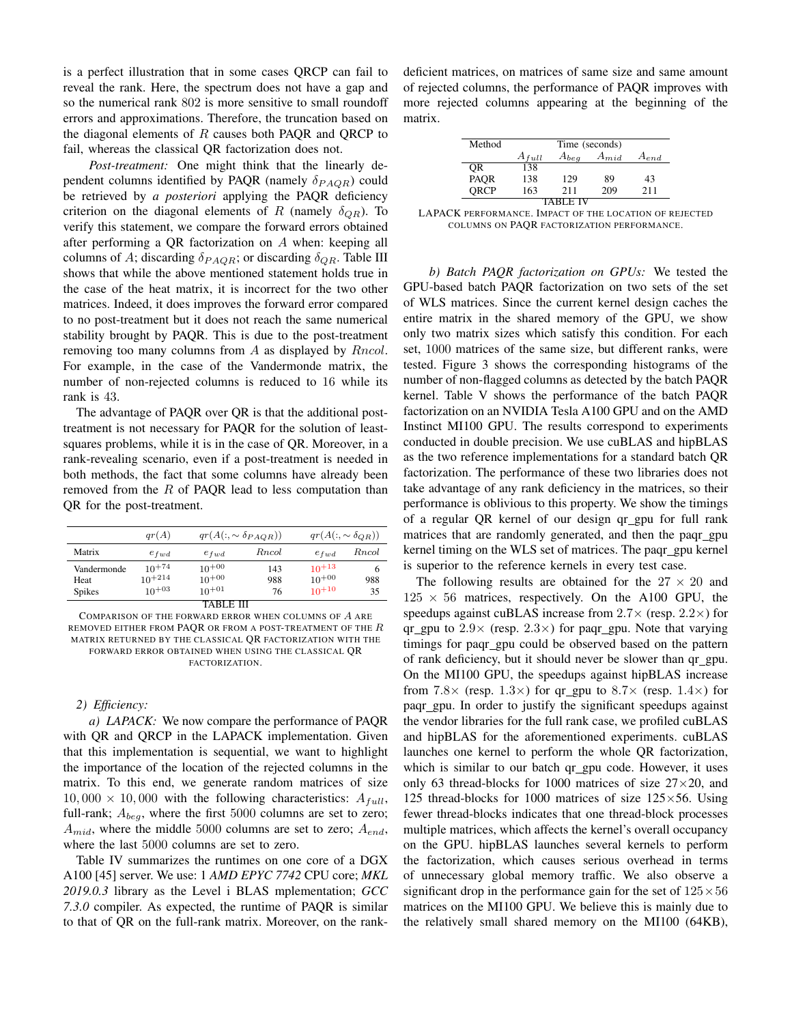is a perfect illustration that in some cases QRCP can fail to reveal the rank. Here, the spectrum does not have a gap and so the numerical rank 802 is more sensitive to small roundoff errors and approximations. Therefore, the truncation based on the diagonal elements of  $R$  causes both PAQR and QRCP to fail, whereas the classical QR factorization does not.

*Post-treatment:* One might think that the linearly dependent columns identified by PAQR (namely  $\delta_{P A Q R}$ ) could be retrieved by *a posteriori* applying the PAQR deficiency criterion on the diagonal elements of R (namely  $\delta_{QR}$ ). To verify this statement, we compare the forward errors obtained after performing a QR factorization on A when: keeping all columns of A; discarding  $\delta_{PAOR}$ ; or discarding  $\delta_{OR}$ . Table III shows that while the above mentioned statement holds true in the case of the heat matrix, it is incorrect for the two other matrices. Indeed, it does improves the forward error compared to no post-treatment but it does not reach the same numerical stability brought by PAQR. This is due to the post-treatment removing too many columns from A as displayed by  $Rncol$ . For example, in the case of the Vandermonde matrix, the number of non-rejected columns is reduced to 16 while its rank is 43.

The advantage of PAQR over QR is that the additional posttreatment is not necessary for PAQR for the solution of leastsquares problems, while it is in the case of QR. Moreover, in a rank-revealing scenario, even if a post-treatment is needed in both methods, the fact that some columns have already been removed from the  $R$  of PAQR lead to less computation than QR for the post-treatment.

|               | qr(A)       |            | $qr(A(:, \sim \delta_{PAOR}))$ | $qr(A(:, \sim \delta_{OR}))$ |              |  |  |
|---------------|-------------|------------|--------------------------------|------------------------------|--------------|--|--|
| Matrix        | $e_{fwd}$   | $e_{fwd}$  | <i>Rncol</i>                   | $e_{fwd}$                    | <i>Rncol</i> |  |  |
| Vandermonde   | $10^{+74}$  | $10^{+00}$ | 143                            | $10^{+13}$                   |              |  |  |
| Heat          | $10^{+214}$ | $10^{+00}$ | 988                            | $10^{+00}$                   | 988          |  |  |
| <b>Spikes</b> | $10+03$     | $10^{+01}$ | 76                             | $10+10$                      | 35           |  |  |
| TABLE III     |             |            |                                |                              |              |  |  |

COMPARISON OF THE FORWARD ERROR WHEN COLUMNS OF A ARE REMOVED EITHER FROM PAQR OR FROM A POST-TREATMENT OF THE  $R$ MATRIX RETURNED BY THE CLASSICAL QR FACTORIZATION WITH THE FORWARD ERROR OBTAINED WHEN USING THE CLASSICAL QR FACTORIZATION.

## *2) Efficiency:*

*a) LAPACK:* We now compare the performance of PAQR with QR and QRCP in the LAPACK implementation. Given that this implementation is sequential, we want to highlight the importance of the location of the rejected columns in the matrix. To this end, we generate random matrices of size  $10,000 \times 10,000$  with the following characteristics:  $A_{full}$ , full-rank;  $A_{beq}$ , where the first 5000 columns are set to zero;  $A_{mid}$ , where the middle 5000 columns are set to zero;  $A_{end}$ , where the last 5000 columns are set to zero.

Table IV summarizes the runtimes on one core of a DGX A100 [45] server. We use: 1 *AMD EPYC 7742* CPU core; *MKL 2019.0.3* library as the Level i BLAS mplementation; *GCC 7.3.0* compiler. As expected, the runtime of PAQR is similar to that of QR on the full-rank matrix. Moreover, on the rankdeficient matrices, on matrices of same size and same amount of rejected columns, the performance of PAQR improves with more rejected columns appearing at the beginning of the matrix.

| Method   | Time (seconds)                                    |     |     |     |  |  |  |
|----------|---------------------------------------------------|-----|-----|-----|--|--|--|
|          | $A_{mid}$<br>$A_{beg}$<br>$A_{full}$<br>$A_{end}$ |     |     |     |  |  |  |
| 0R       | 138                                               |     |     |     |  |  |  |
| PAQR     | 138                                               | 129 | 89  | 43  |  |  |  |
| ORCP     | 163                                               | 211 | 209 | 211 |  |  |  |
| TARLE IV |                                                   |     |     |     |  |  |  |

LAPACK PERFORMANCE. IMPACT OF THE LOCATION OF REJECTED COLUMNS ON PAQR FACTORIZATION PERFORMANCE.

*b) Batch PAQR factorization on GPUs:* We tested the GPU-based batch PAQR factorization on two sets of the set of WLS matrices. Since the current kernel design caches the entire matrix in the shared memory of the GPU, we show only two matrix sizes which satisfy this condition. For each set, 1000 matrices of the same size, but different ranks, were tested. Figure 3 shows the corresponding histograms of the number of non-flagged columns as detected by the batch PAQR kernel. Table V shows the performance of the batch PAQR factorization on an NVIDIA Tesla A100 GPU and on the AMD Instinct MI100 GPU. The results correspond to experiments conducted in double precision. We use cuBLAS and hipBLAS as the two reference implementations for a standard batch QR factorization. The performance of these two libraries does not take advantage of any rank deficiency in the matrices, so their performance is oblivious to this property. We show the timings of a regular QR kernel of our design qr gpu for full rank matrices that are randomly generated, and then the paqr\_gpu kernel timing on the WLS set of matrices. The paqr\_gpu kernel is superior to the reference kernels in every test case.

The following results are obtained for the  $27 \times 20$  and  $125 \times 56$  matrices, respectively. On the A100 GPU, the speedups against cuBLAS increase from  $2.7\times$  (resp.  $2.2\times$ ) for qr\_gpu to  $2.9\times$  (resp.  $2.3\times$ ) for paqr\_gpu. Note that varying timings for paqr gpu could be observed based on the pattern of rank deficiency, but it should never be slower than qr\_gpu. On the MI100 GPU, the speedups against hipBLAS increase from 7.8 $\times$  (resp. 1.3 $\times$ ) for qr\_gpu to 8.7 $\times$  (resp. 1.4 $\times$ ) for paqr gpu. In order to justify the significant speedups against the vendor libraries for the full rank case, we profiled cuBLAS and hipBLAS for the aforementioned experiments. cuBLAS launches one kernel to perform the whole QR factorization, which is similar to our batch qr gpu code. However, it uses only 63 thread-blocks for 1000 matrices of size  $27 \times 20$ , and 125 thread-blocks for 1000 matrices of size  $125\times56$ . Using fewer thread-blocks indicates that one thread-block processes multiple matrices, which affects the kernel's overall occupancy on the GPU. hipBLAS launches several kernels to perform the factorization, which causes serious overhead in terms of unnecessary global memory traffic. We also observe a significant drop in the performance gain for the set of  $125 \times 56$ matrices on the MI100 GPU. We believe this is mainly due to the relatively small shared memory on the MI100 (64KB),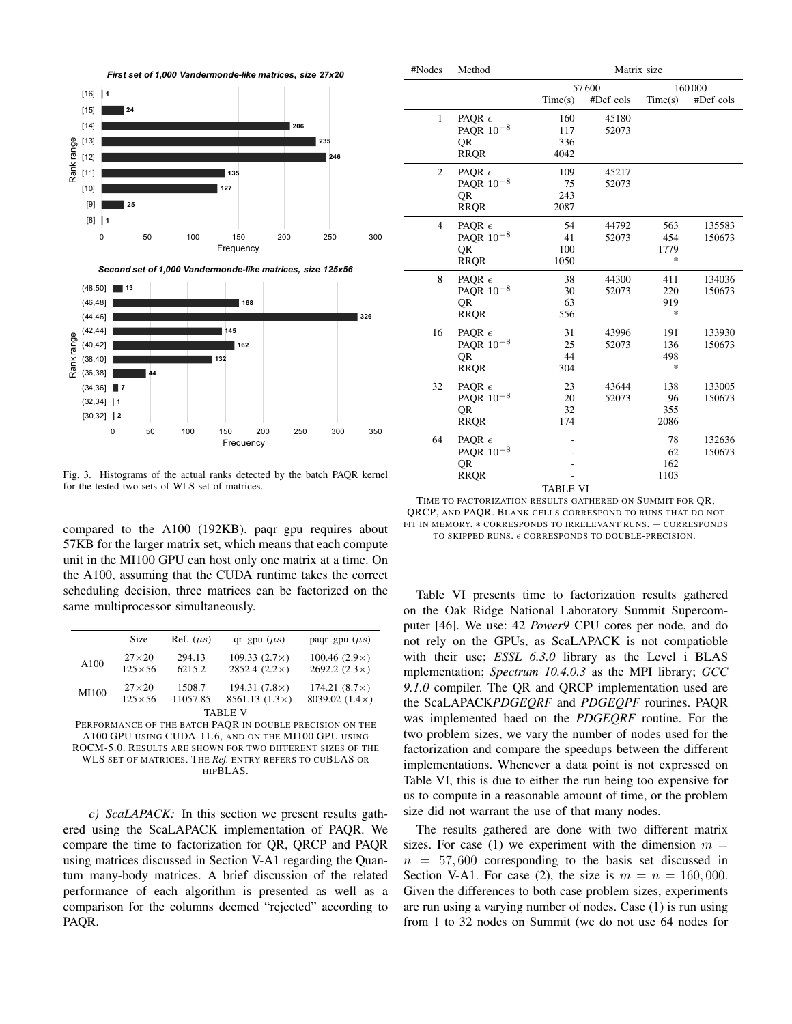

Fig. 3. Histograms of the actual ranks detected by the batch PAQR kernel for the tested two sets of WLS set of matrices.

compared to the A100 (192KB). paqr\_gpu requires about 57KB for the larger matrix set, which means that each compute unit in the MI100 GPU can host only one matrix at a time. On the A100, assuming that the CUDA runtime takes the correct scheduling decision, three matrices can be factorized on the same multiprocessor simultaneously.

|                                                                                                                                                              | Size                            | Ref. $(\mu s)$   | $qr\_gpu (\mu s)$                           | paqr_gpu $(\mu s)$                           |  |  |
|--------------------------------------------------------------------------------------------------------------------------------------------------------------|---------------------------------|------------------|---------------------------------------------|----------------------------------------------|--|--|
| A100                                                                                                                                                         | $27\times20$<br>$125 \times 56$ | 294.13<br>6215.2 | 109.33 $(2.7\times)$<br>$2852.4(2.2\times)$ | 100.46 $(2.9\times)$<br>2692.2 $(2.3\times)$ |  |  |
| 194.31 $(7.8\times)$<br>$174.21(8.7\times)$<br>$27\times20$<br>1508.7<br>MI100<br>8039.02 $(1.4\times)$<br>$8561.13(1.3\times)$<br>$125\times56$<br>11057.85 |                                 |                  |                                             |                                              |  |  |
| <b>TARLE</b>                                                                                                                                                 |                                 |                  |                                             |                                              |  |  |

PERFORMANCE OF THE BATCH PAQR IN DOUBLE PRECISION ON THE A100 GPU USING CUDA-11.6, AND ON THE MI100 GPU USING ROCM-5.0. RESULTS ARE SHOWN FOR TWO DIFFERENT SIZES OF THE WLS SET OF MATRICES. THE *Ref.* ENTRY REFERS TO CUBLAS OR HIPBLAS.

*c) ScaLAPACK:* In this section we present results gathered using the ScaLAPACK implementation of PAQR. We compare the time to factorization for QR, QRCP and PAQR using matrices discussed in Section V-A1 regarding the Quantum many-body matrices. A brief discussion of the related performance of each algorithm is presented as well as a comparison for the columns deemed "rejected" according to PAQR.

| #Nodes         | Method          | Matrix size |           |                                   |           |  |  |
|----------------|-----------------|-------------|-----------|-----------------------------------|-----------|--|--|
|                |                 |             | 57600     |                                   | 160000    |  |  |
|                |                 | Time(s)     | #Def cols | Time(s)                           | #Def cols |  |  |
| $\mathbf{1}$   | PAQR $\epsilon$ | 160         | 45180     |                                   |           |  |  |
|                | PAQR $10^{-8}$  | 117         | 52073     |                                   |           |  |  |
|                | QR              | 336         |           |                                   |           |  |  |
|                | <b>RROR</b>     | 4042        |           |                                   |           |  |  |
| 2              | PAQR $\epsilon$ | 109         | 45217     |                                   |           |  |  |
|                | PAQR $10^{-8}$  | 75          | 52073     |                                   |           |  |  |
|                | <b>OR</b>       | 243         |           |                                   |           |  |  |
|                | <b>RRQR</b>     | 2087        |           |                                   |           |  |  |
| $\overline{4}$ | PAQR $\epsilon$ | 54          | 44792     | 563                               | 135583    |  |  |
|                | PAQR $10^{-8}$  | 41          | 52073     | 454                               | 150673    |  |  |
|                | QR              | 100         |           | 1779                              |           |  |  |
|                | <b>RROR</b>     | 1050        |           | $\frac{d\mathbf{x}}{d\mathbf{x}}$ |           |  |  |
| 8              | PAQR $\epsilon$ | 38          | 44300     | 411                               | 134036    |  |  |
|                | PAQR $10^{-8}$  | 30          | 52073     | 220                               | 150673    |  |  |
|                | QR              | 63          |           | 919                               |           |  |  |
|                | <b>RRQR</b>     | 556         |           | $\frac{d\mathbf{x}}{d\mathbf{x}}$ |           |  |  |
| 16             | PAQR $\epsilon$ | 31          | 43996     | 191                               | 133930    |  |  |
|                | PAQR $10^{-8}$  | 25          | 52073     | 136                               | 150673    |  |  |
|                | QR              | 44          |           | 498                               |           |  |  |
|                | <b>RRQR</b>     | 304         |           | $\frac{1}{2}$                     |           |  |  |
| 32             | PAOR $\epsilon$ | 23          | 43644     | 138                               | 133005    |  |  |
|                | PAOR $10^{-8}$  | 20          | 52073     | 96                                | 150673    |  |  |
|                | 0R              | 32          |           | 355                               |           |  |  |
|                | <b>RROR</b>     | 174         |           | 2086                              |           |  |  |
| 64             | PAQR $\epsilon$ |             |           | 78                                | 132636    |  |  |
|                | PAQR $10^{-8}$  |             |           | 62                                | 150673    |  |  |
|                | QR              |             |           | 162                               |           |  |  |
|                | <b>RRQR</b>     |             |           | 1103                              |           |  |  |
|                |                 | TABLE       | VI        |                                   |           |  |  |

TIME TO FACTORIZATION RESULTS GATHERED ON SUMMIT FOR QR, QRCP, AND PAQR. BLANK CELLS CORRESPOND TO RUNS THAT DO NOT FIT IN MEMORY. \* CORRESPONDS TO IRRELEVANT RUNS. - CORRESPONDS TO SKIPPED RUNS.  $\epsilon$  CORRESPONDS TO DOUBLE-PRECISION.

Table VI presents time to factorization results gathered on the Oak Ridge National Laboratory Summit Supercomputer [46]. We use: 42 *Power9* CPU cores per node, and do not rely on the GPUs, as ScaLAPACK is not compatioble with their use; *ESSL 6.3.0* library as the Level i BLAS mplementation; *Spectrum 10.4.0.3* as the MPI library; *GCC 9.1.0* compiler. The QR and QRCP implementation used are the ScaLAPACK*PDGEQRF* and *PDGEQPF* rourines. PAQR was implemented baed on the *PDGEQRF* routine. For the two problem sizes, we vary the number of nodes used for the factorization and compare the speedups between the different implementations. Whenever a data point is not expressed on Table VI, this is due to either the run being too expensive for us to compute in a reasonable amount of time, or the problem size did not warrant the use of that many nodes.

The results gathered are done with two different matrix sizes. For case (1) we experiment with the dimension  $m =$  $n = 57,600$  corresponding to the basis set discussed in Section V-A1. For case (2), the size is  $m = n = 160,000$ . Given the differences to both case problem sizes, experiments are run using a varying number of nodes. Case (1) is run using from 1 to 32 nodes on Summit (we do not use 64 nodes for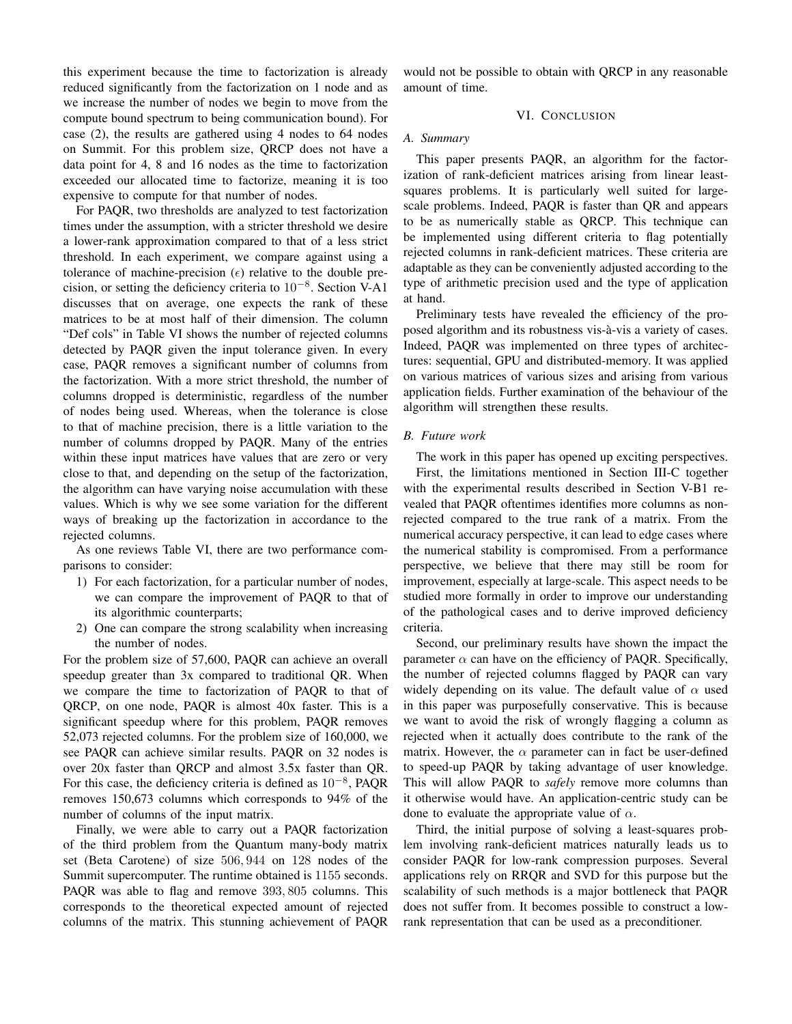this experiment because the time to factorization is already reduced significantly from the factorization on 1 node and as we increase the number of nodes we begin to move from the compute bound spectrum to being communication bound). For case (2), the results are gathered using 4 nodes to 64 nodes on Summit. For this problem size, QRCP does not have a data point for 4, 8 and 16 nodes as the time to factorization exceeded our allocated time to factorize, meaning it is too expensive to compute for that number of nodes.

For PAQR, two thresholds are analyzed to test factorization times under the assumption, with a stricter threshold we desire a lower-rank approximation compared to that of a less strict threshold. In each experiment, we compare against using a tolerance of machine-precision  $(\epsilon)$  relative to the double precision, or setting the deficiency criteria to 10−<sup>8</sup> . Section V-A1 discusses that on average, one expects the rank of these matrices to be at most half of their dimension. The column "Def cols" in Table VI shows the number of rejected columns detected by PAQR given the input tolerance given. In every case, PAQR removes a significant number of columns from the factorization. With a more strict threshold, the number of columns dropped is deterministic, regardless of the number of nodes being used. Whereas, when the tolerance is close to that of machine precision, there is a little variation to the number of columns dropped by PAQR. Many of the entries within these input matrices have values that are zero or very close to that, and depending on the setup of the factorization, the algorithm can have varying noise accumulation with these values. Which is why we see some variation for the different ways of breaking up the factorization in accordance to the rejected columns.

As one reviews Table VI, there are two performance comparisons to consider:

- 1) For each factorization, for a particular number of nodes, we can compare the improvement of PAQR to that of its algorithmic counterparts;
- 2) One can compare the strong scalability when increasing the number of nodes.

For the problem size of 57,600, PAQR can achieve an overall speedup greater than 3x compared to traditional QR. When we compare the time to factorization of PAQR to that of QRCP, on one node, PAQR is almost 40x faster. This is a significant speedup where for this problem, PAQR removes 52,073 rejected columns. For the problem size of 160,000, we see PAQR can achieve similar results. PAQR on 32 nodes is over 20x faster than QRCP and almost 3.5x faster than QR. For this case, the deficiency criteria is defined as  $10^{-8}$ , PAQR removes 150,673 columns which corresponds to 94% of the number of columns of the input matrix.

Finally, we were able to carry out a PAQR factorization of the third problem from the Quantum many-body matrix set (Beta Carotene) of size 506, 944 on 128 nodes of the Summit supercomputer. The runtime obtained is 1155 seconds. PAQR was able to flag and remove 393, 805 columns. This corresponds to the theoretical expected amount of rejected columns of the matrix. This stunning achievement of PAQR would not be possible to obtain with QRCP in any reasonable amount of time.

## VI. CONCLUSION

## *A. Summary*

This paper presents PAQR, an algorithm for the factorization of rank-deficient matrices arising from linear leastsquares problems. It is particularly well suited for largescale problems. Indeed, PAQR is faster than QR and appears to be as numerically stable as QRCP. This technique can be implemented using different criteria to flag potentially rejected columns in rank-deficient matrices. These criteria are adaptable as they can be conveniently adjusted according to the type of arithmetic precision used and the type of application at hand.

Preliminary tests have revealed the efficiency of the proposed algorithm and its robustness vis-a-vis a variety of cases. ` Indeed, PAQR was implemented on three types of architectures: sequential, GPU and distributed-memory. It was applied on various matrices of various sizes and arising from various application fields. Further examination of the behaviour of the algorithm will strengthen these results.

## *B. Future work*

The work in this paper has opened up exciting perspectives. First, the limitations mentioned in Section III-C together with the experimental results described in Section V-B1 revealed that PAQR oftentimes identifies more columns as nonrejected compared to the true rank of a matrix. From the numerical accuracy perspective, it can lead to edge cases where the numerical stability is compromised. From a performance perspective, we believe that there may still be room for improvement, especially at large-scale. This aspect needs to be studied more formally in order to improve our understanding of the pathological cases and to derive improved deficiency criteria.

Second, our preliminary results have shown the impact the parameter  $\alpha$  can have on the efficiency of PAQR. Specifically, the number of rejected columns flagged by PAQR can vary widely depending on its value. The default value of  $\alpha$  used in this paper was purposefully conservative. This is because we want to avoid the risk of wrongly flagging a column as rejected when it actually does contribute to the rank of the matrix. However, the  $\alpha$  parameter can in fact be user-defined to speed-up PAQR by taking advantage of user knowledge. This will allow PAQR to *safely* remove more columns than it otherwise would have. An application-centric study can be done to evaluate the appropriate value of  $\alpha$ .

Third, the initial purpose of solving a least-squares problem involving rank-deficient matrices naturally leads us to consider PAQR for low-rank compression purposes. Several applications rely on RRQR and SVD for this purpose but the scalability of such methods is a major bottleneck that PAQR does not suffer from. It becomes possible to construct a lowrank representation that can be used as a preconditioner.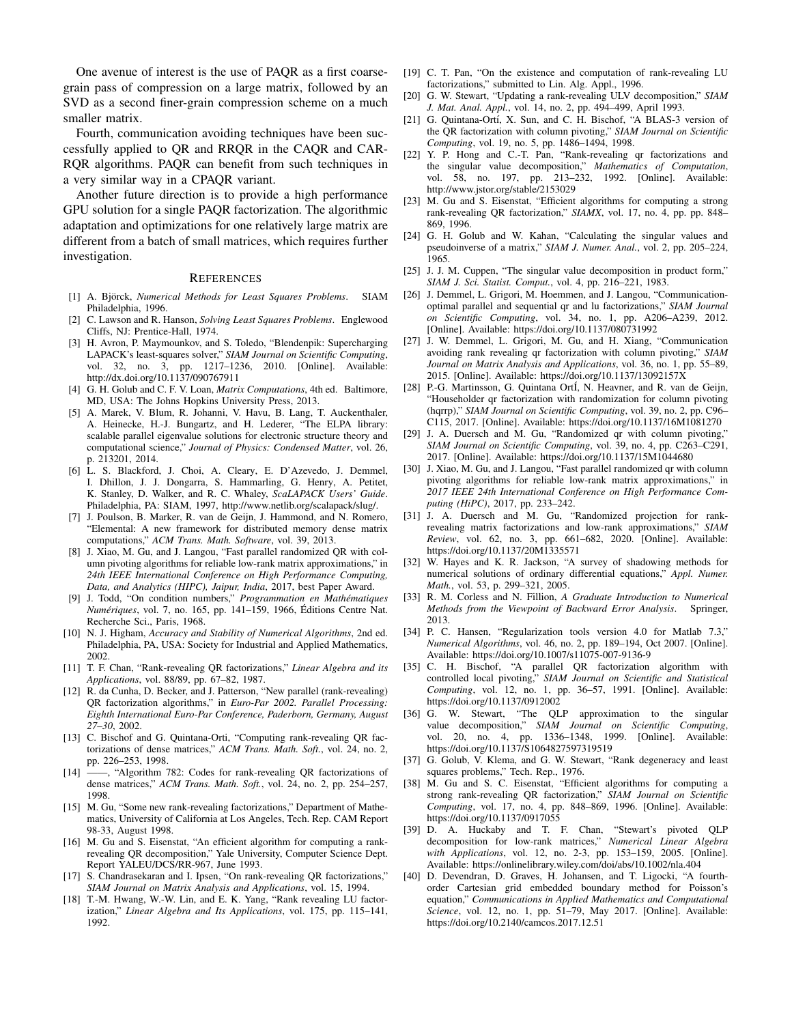One avenue of interest is the use of PAQR as a first coarsegrain pass of compression on a large matrix, followed by an SVD as a second finer-grain compression scheme on a much smaller matrix.

Fourth, communication avoiding techniques have been successfully applied to QR and RRQR in the CAQR and CAR-RQR algorithms. PAQR can benefit from such techniques in a very similar way in a CPAQR variant.

Another future direction is to provide a high performance GPU solution for a single PAQR factorization. The algorithmic adaptation and optimizations for one relatively large matrix are different from a batch of small matrices, which requires further investigation.

#### **REFERENCES**

- [1] A. Björck, Numerical Methods for Least Squares Problems. SIAM Philadelphia, 1996.
- [2] C. Lawson and R. Hanson, *Solving Least Squares Problems*. Englewood Cliffs, NJ: Prentice-Hall, 1974.
- [3] H. Avron, P. Maymounkov, and S. Toledo, "Blendenpik: Supercharging LAPACK's least-squares solver," *SIAM Journal on Scientific Computing*, vol. 32, no. 3, pp. 1217–1236, 2010. [Online]. Available: http://dx.doi.org/10.1137/090767911
- [4] G. H. Golub and C. F. V. Loan, *Matrix Computations*, 4th ed. Baltimore, MD, USA: The Johns Hopkins University Press, 2013.
- [5] A. Marek, V. Blum, R. Johanni, V. Havu, B. Lang, T. Auckenthaler, A. Heinecke, H.-J. Bungartz, and H. Lederer, "The ELPA library: scalable parallel eigenvalue solutions for electronic structure theory and computational science," *Journal of Physics: Condensed Matter*, vol. 26, p. 213201, 2014.
- [6] L. S. Blackford, J. Choi, A. Cleary, E. D'Azevedo, J. Demmel, I. Dhillon, J. J. Dongarra, S. Hammarling, G. Henry, A. Petitet, K. Stanley, D. Walker, and R. C. Whaley, *ScaLAPACK Users' Guide*. Philadelphia, PA: SIAM, 1997, http://www.netlib.org/scalapack/slug/.
- [7] J. Poulson, B. Marker, R. van de Geijn, J. Hammond, and N. Romero, "Elemental: A new framework for distributed memory dense matrix computations," *ACM Trans. Math. Software*, vol. 39, 2013.
- [8] J. Xiao, M. Gu, and J. Langou, "Fast parallel randomized QR with column pivoting algorithms for reliable low-rank matrix approximations," in *24th IEEE International Conference on High Performance Computing, Data, and Analytics (HIPC), Jaipur, India*, 2017, best Paper Award.
- [9] J. Todd, "On condition numbers," *Programmation en Mathematiques ´ Numériques*, vol. 7, no. 165, pp. 141-159, 1966, Éditions Centre Nat. Recherche Sci., Paris, 1968.
- [10] N. J. Higham, *Accuracy and Stability of Numerical Algorithms*, 2nd ed. Philadelphia, PA, USA: Society for Industrial and Applied Mathematics, 2002.
- [11] T. F. Chan, "Rank-revealing QR factorizations," *Linear Algebra and its Applications*, vol. 88/89, pp. 67–82, 1987.
- [12] R. da Cunha, D. Becker, and J. Patterson, "New parallel (rank-revealing) QR factorization algorithms," in *Euro-Par 2002. Parallel Processing: Eighth International Euro-Par Conference, Paderborn, Germany, August 27–30*, 2002.
- [13] C. Bischof and G. Quintana-Orti, "Computing rank-revealing QR factorizations of dense matrices," *ACM Trans. Math. Soft.*, vol. 24, no. 2, pp. 226–253, 1998.
- [14] ——, "Algorithm 782: Codes for rank-revealing QR factorizations of dense matrices," *ACM Trans. Math. Soft.*, vol. 24, no. 2, pp. 254–257, 1998.
- [15] M. Gu, "Some new rank-revealing factorizations," Department of Mathematics, University of California at Los Angeles, Tech. Rep. CAM Report 98-33, August 1998.
- [16] M. Gu and S. Eisenstat, "An efficient algorithm for computing a rankrevealing QR decomposition," Yale University, Computer Science Dept. Report YALEU/DCS/RR-967, June 1993.
- [17] S. Chandrasekaran and I. Ipsen, "On rank-revealing QR factorizations," *SIAM Journal on Matrix Analysis and Applications*, vol. 15, 1994.
- [18] T.-M. Hwang, W.-W. Lin, and E. K. Yang, "Rank revealing LU factorization," *Linear Algebra and Its Applications*, vol. 175, pp. 115–141, 1992.
- [19] C. T. Pan, "On the existence and computation of rank-revealing LU factorizations," submitted to Lin. Alg. Appl., 1996.
- [20] G. W. Stewart, "Updating a rank-revealing ULV decomposition," *SIAM J. Mat. Anal. Appl.*, vol. 14, no. 2, pp. 494–499, April 1993.
- [21] G. Quintana-Ortí, X. Sun, and C. H. Bischof, "A BLAS-3 version of the QR factorization with column pivoting," *SIAM Journal on Scientific Computing*, vol. 19, no. 5, pp. 1486–1494, 1998.
- [22] Y. P. Hong and C.-T. Pan, "Rank-revealing qr factorizations and the singular value decomposition," *Mathematics of Computation*, vol. 58, no. 197, pp. 213–232, 1992. [Online]. Available: http://www.jstor.org/stable/2153029
- [23] M. Gu and S. Eisenstat, "Efficient algorithms for computing a strong rank-revealing QR factorization," *SIAMX*, vol. 17, no. 4, pp. pp. 848– 869, 1996.
- [24] G. H. Golub and W. Kahan, "Calculating the singular values and pseudoinverse of a matrix," *SIAM J. Numer. Anal.*, vol. 2, pp. 205–224, 1965.
- [25] J. J. M. Cuppen, "The singular value decomposition in product form," *SIAM J. Sci. Statist. Comput.*, vol. 4, pp. 216–221, 1983.
- [26] J. Demmel, L. Grigori, M. Hoemmen, and J. Langou, "Communicationoptimal parallel and sequential qr and lu factorizations," *SIAM Journal on Scientific Computing*, vol. 34, no. 1, pp. A206–A239, 2012. [Online]. Available: https://doi.org/10.1137/080731992
- [27] J. W. Demmel, L. Grigori, M. Gu, and H. Xiang, "Communication avoiding rank revealing qr factorization with column pivoting," *SIAM Journal on Matrix Analysis and Applications*, vol. 36, no. 1, pp. 55–89, 2015. [Online]. Available: https://doi.org/10.1137/13092157X
- [28] P.-G. Martinsson, G. Quintana OrtI, N. Heavner, and R. van de Geijn, "Householder qr factorization with randomization for column pivoting (hqrrp)," *SIAM Journal on Scientific Computing*, vol. 39, no. 2, pp. C96– C115, 2017. [Online]. Available: https://doi.org/10.1137/16M1081270
- [29] J. A. Duersch and M. Gu, "Randomized qr with column pivoting," *SIAM Journal on Scientific Computing*, vol. 39, no. 4, pp. C263–C291, 2017. [Online]. Available: https://doi.org/10.1137/15M1044680
- [30] J. Xiao, M. Gu, and J. Langou, "Fast parallel randomized qr with column pivoting algorithms for reliable low-rank matrix approximations," in *2017 IEEE 24th International Conference on High Performance Computing (HiPC)*, 2017, pp. 233–242.
- [31] J. A. Duersch and M. Gu, "Randomized projection for rankrevealing matrix factorizations and low-rank approximations," *SIAM Review*, vol. 62, no. 3, pp. 661–682, 2020. [Online]. Available: https://doi.org/10.1137/20M1335571
- [32] W. Hayes and K. R. Jackson, "A survey of shadowing methods for numerical solutions of ordinary differential equations," *Appl. Numer. Math.*, vol. 53, p. 299–321, 2005.
- [33] R. M. Corless and N. Fillion, *A Graduate Introduction to Numerical Methods from the Viewpoint of Backward Error Analysis*. Springer, 2013.
- [34] P. C. Hansen, "Regularization tools version 4.0 for Matlab 7.3," *Numerical Algorithms*, vol. 46, no. 2, pp. 189–194, Oct 2007. [Online]. Available: https://doi.org/10.1007/s11075-007-9136-9
- [35] C. H. Bischof, "A parallel QR factorization algorithm with controlled local pivoting," *SIAM Journal on Scientific and Statistical Computing*, vol. 12, no. 1, pp. 36–57, 1991. [Online]. Available: https://doi.org/10.1137/0912002
- [36] G. W. Stewart, "The OLP approximation to the singular value decomposition," *SIAM Journal on Scientific Computing*, vol. 20, no. 4, pp. 1336–1348, 1999. [Online]. Available: https://doi.org/10.1137/S1064827597319519
- [37] G. Golub, V. Klema, and G. W. Stewart, "Rank degeneracy and least squares problems," Tech. Rep., 1976.
- [38] M. Gu and S. C. Eisenstat, "Efficient algorithms for computing a strong rank-revealing QR factorization," *SIAM Journal on Scientific Computing*, vol. 17, no. 4, pp. 848–869, 1996. [Online]. Available: https://doi.org/10.1137/0917055
- [39] D. A. Huckaby and T. F. Chan, "Stewart's pivoted OLP decomposition for low-rank matrices," *Numerical Linear Algebra with Applications*, vol. 12, no. 2-3, pp. 153–159, 2005. [Online]. Available: https://onlinelibrary.wiley.com/doi/abs/10.1002/nla.404
- [40] D. Devendran, D. Graves, H. Johansen, and T. Ligocki, "A fourthorder Cartesian grid embedded boundary method for Poisson's equation," *Communications in Applied Mathematics and Computational Science*, vol. 12, no. 1, pp. 51–79, May 2017. [Online]. Available: https://doi.org/10.2140/camcos.2017.12.51